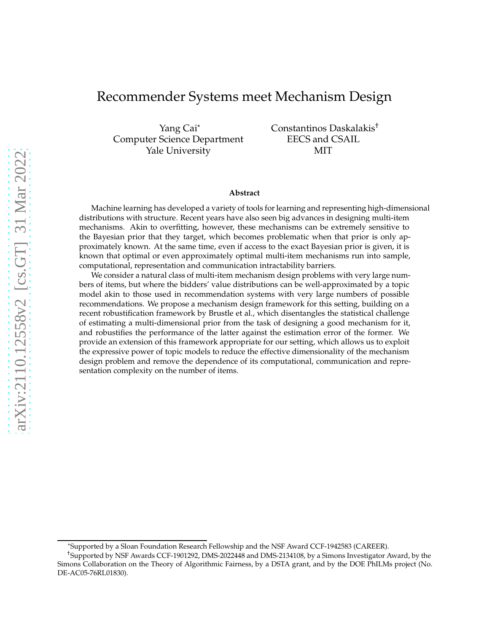## Recommender Systems meet Mechanism Design

Yang Cai\* Computer Science Department Yale University

Constantinos Daskalakis† EECS and CSAIL MIT

#### **Abstract**

Machine learning has developed a variety of tools for learning and representing high-dimensional distributions with structure. Recent years have also seen big advances in designing multi-item mechanisms. Akin to overfitting, however, these mechanisms can be extremely sensitive to the Bayesian prior that they target, which becomes problematic when that prior is only approximately known. At the same time, even if access to the exact Bayesian prior is given, it is known that optimal or even approximately optimal multi-item mechanisms run into sample, computational, representation and communication intractability barriers.

We consider a natural class of multi-item mechanism design problems with very large numbers of items, but where the bidders' value distributions can be well-approximated by a topic model akin to those used in recommendation systems with very large numbers of possible recommendations. We propose a mechanism design framework for this setting, building on a recent robustification framework by Brustle et al., which disentangles the statistical challenge of estimating a multi-dimensional prior from the task of designing a good mechanism for it, and robustifies the performance of the latter against the estimation error of the former. We provide an extension of this framework appropriate for our setting, which allows us to exploit the expressive power of topic models to reduce the effective dimensionality of the mechanism design problem and remove the dependence of its computational, communication and representation complexity on the number of items.

<sup>\*</sup>Supported by a Sloan Foundation Research Fellowship and the NSF Award CCF-1942583 (CAREER).

<sup>†</sup>Supported by NSF Awards CCF-1901292, DMS-2022448 and DMS-2134108, by a Simons Investigator Award, by the Simons Collaboration on the Theory of Algorithmic Fairness, by a DSTA grant, and by the DOE PhILMs project (No. DE-AC05-76RL01830).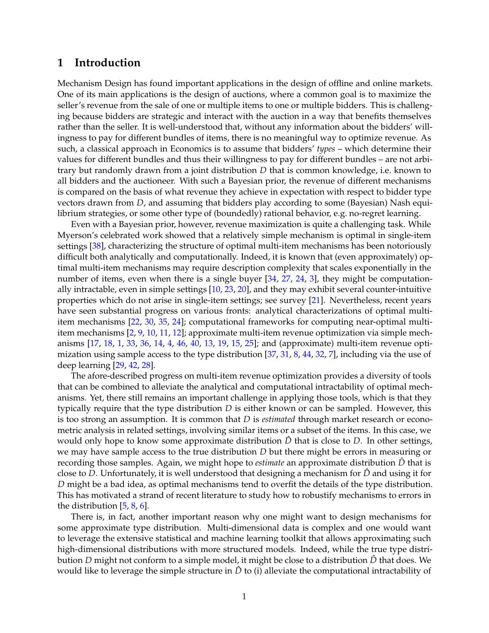### <span id="page-1-0"></span>**1 Introduction**

Mechanism Design has found important applications in the design of offline and online markets. One of its main applications is the design of auctions, where a common goal is to maximize the seller's revenue from the sale of one or multiple items to one or multiple bidders. This is challenging because bidders are strategic and interact with the auction in a way that benefits themselves rather than the seller. It is well-understood that, without any information about the bidders' willingness to pay for different bundles of items, there is no meaningful way to optimize revenue. As such, a classical approach in Economics is to assume that bidders' *types* – which determine their values for different bundles and thus their willingness to pay for different bundles – are not arbitrary but randomly drawn from a joint distribution *D* that is common knowledge, i.e. known to all bidders and the auctioneer. With such a Bayesian prior, the revenue of different mechanisms is compared on the basis of what revenue they achieve in expectation with respect to bidder type vectors drawn from *D*, and assuming that bidders play according to some (Bayesian) Nash equilibrium strategies, or some other type of (boundedly) rational behavior, e.g. no-regret learning.

Even with a Bayesian prior, however, revenue maximization is quite a challenging task. While Myerson's celebrated work showed that a relatively simple mechanism is optimal in single-item settings [\[38\]](#page-18-0), characterizing the structure of optimal multi-item mechanisms has been notoriously difficult both analytically and computationally. Indeed, it is known that (even approximately) optimal multi-item mechanisms may require description complexity that scales exponentially in the number of items, even when there is a single buyer [\[34,](#page-18-1) [27,](#page-17-0) [24,](#page-17-1) [3\]](#page-16-0), they might be computationally intractable, even in simple settings [\[10,](#page-16-1) [23,](#page-17-2) [20\]](#page-17-3), and they may exhibit several counter-intuitive properties which do not arise in single-item settings; see survey [\[21\]](#page-17-4). Nevertheless, recent years have seen substantial progress on various fronts: analytical characterizations of optimal multiitem mechanisms [\[22,](#page-17-5) [30,](#page-17-6) [35,](#page-18-2) [24\]](#page-17-1); computational frameworks for computing near-optimal multiitem mechanisms [\[2,](#page-15-0) [9,](#page-16-2) [10,](#page-16-1) [11,](#page-16-3) [12\]](#page-16-4); approximate multi-item revenue optimization via simple mechanisms [\[17,](#page-16-5) [18,](#page-16-6) [1,](#page-15-1) [33,](#page-18-3) [36,](#page-18-4) [14,](#page-16-7) [4,](#page-16-8) [46,](#page-18-5) [40,](#page-18-6) [13,](#page-16-9) [19,](#page-17-7) [15,](#page-16-10) [25\]](#page-17-8); and (approximate) multi-item revenue optimization using sample access to the type distribution [\[37,](#page-18-7) [31,](#page-17-9) [8,](#page-16-11) [44,](#page-18-8) [32,](#page-17-10) [7\]](#page-16-12), including via the use of deep learning [\[29,](#page-17-11) [42,](#page-18-9) [28\]](#page-17-12).

The afore-described progress on multi-item revenue optimization provides a diversity of tools that can be combined to alleviate the analytical and computational intractability of optimal mechanisms. Yet, there still remains an important challenge in applying those tools, which is that they typically require that the type distribution *D* is either known or can be sampled. However, this is too strong an assumption. It is common that *D* is *estimated* through market research or econometric analysis in related settings, involving similar items or a subset of the items. In this case, we would only hope to know some approximate distribution  $\hat{D}$  that is close to  $D$ . In other settings, we may have sample access to the true distribution *D* but there might be errors in measuring or recording those samples. Again, we might hope to *estimate* an approximate distribution *D*ˆ that is close to *D*. Unfortunately, it is well understood that designing a mechanism for *D*ˆ and using it for *D* might be a bad idea, as optimal mechanisms tend to overfit the details of the type distribution. This has motivated a strand of recent literature to study how to robustify mechanisms to errors in the distribution [\[5,](#page-16-13) [8,](#page-16-11) [6\]](#page-16-14).

There is, in fact, another important reason why one might want to design mechanisms for some approximate type distribution. Multi-dimensional data is complex and one would want to leverage the extensive statistical and machine learning toolkit that allows approximating such high-dimensional distributions with more structured models. Indeed, while the true type distribution *D* might not conform to a simple model, it might be close to a distribution *D*ˆ that does. We would like to leverage the simple structure in  $\hat{D}$  to (i) alleviate the computational intractability of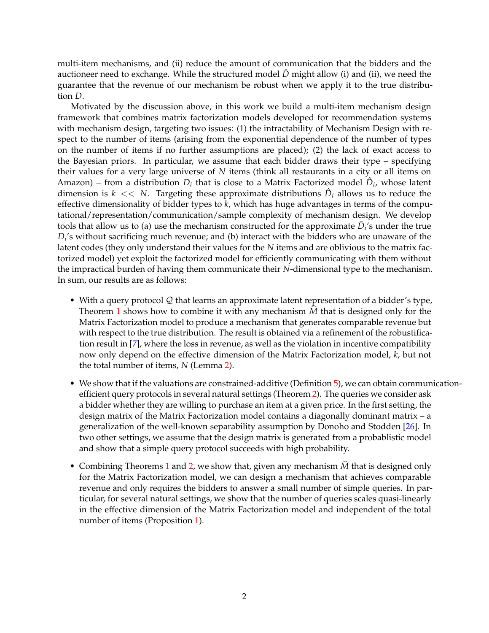multi-item mechanisms, and (ii) reduce the amount of communication that the bidders and the auctioneer need to exchange. While the structured model *D*ˆ might allow (i) and (ii), we need the guarantee that the revenue of our mechanism be robust when we apply it to the true distribution *D*.

Motivated by the discussion above, in this work we build a multi-item mechanism design framework that combines matrix factorization models developed for recommendation systems with mechanism design, targeting two issues: (1) the intractability of Mechanism Design with respect to the number of items (arising from the exponential dependence of the number of types on the number of items if no further assumptions are placed); (2) the lack of exact access to the Bayesian priors. In particular, we assume that each bidder draws their type – specifying their values for a very large universe of *N* items (think all restaurants in a city or all items on Amazon) – from a distribution  $D_i$  that is close to a Matrix Factorized model  $\hat{D}_i$ , whose latent dimension is  $k << N$ . Targeting these approximate distributions  $\hat{D}_i$  allows us to reduce the effective dimensionality of bidder types to *k*, which has huge advantages in terms of the computational/representation/communication/sample complexity of mechanism design. We develop tools that allow us to (a) use the mechanism constructed for the approximate  $\hat{D}_i$ 's under the true *Di* 's without sacrificing much revenue; and (b) interact with the bidders who are unaware of the latent codes (they only understand their values for the *N* items and are oblivious to the matrix factorized model) yet exploit the factorized model for efficiently communicating with them without the impractical burden of having them communicate their *N*-dimensional type to the mechanism. In sum, our results are as follows:

- With a query protocol  $Q$  that learns an approximate latent representation of a bidder's type, Theorem [1](#page-6-0) shows how to combine it with any mechanism  $\dot{M}$  that is designed only for the Matrix Factorization model to produce a mechanism that generates comparable revenue but with respect to the true distribution. The result is obtained via a refinement of the robustification result in [\[7\]](#page-16-12), where the loss in revenue, as well as the violation in incentive compatibility now only depend on the effective dimension of the Matrix Factorization model, *k*, but not the total number of items, *N* (Lemma [2\)](#page-7-0).
- We show that if the valuations are constrained-additive (Definition [5\)](#page-8-0), we can obtain communicationefficient query protocols in several natural settings (Theorem [2\)](#page-8-1). The queries we consider ask a bidder whether they are willing to purchase an item at a given price. In the first setting, the design matrix of the Matrix Factorization model contains a diagonally dominant matrix – a generalization of the well-known separability assumption by Donoho and Stodden [\[26\]](#page-17-13). In two other settings, we assume that the design matrix is generated from a probablistic model and show that a simple query protocol succeeds with high probability.
- Combining Theorems [1](#page-6-0) and [2,](#page-8-1) we show that, given any mechanism  $\hat{M}$  that is designed only for the Matrix Factorization model, we can design a mechanism that achieves comparable revenue and only requires the bidders to answer a small number of simple queries. In particular, for several natural settings, we show that the number of queries scales quasi-linearly in the effective dimension of the Matrix Factorization model and independent of the total number of items (Proposition [1\)](#page-9-0).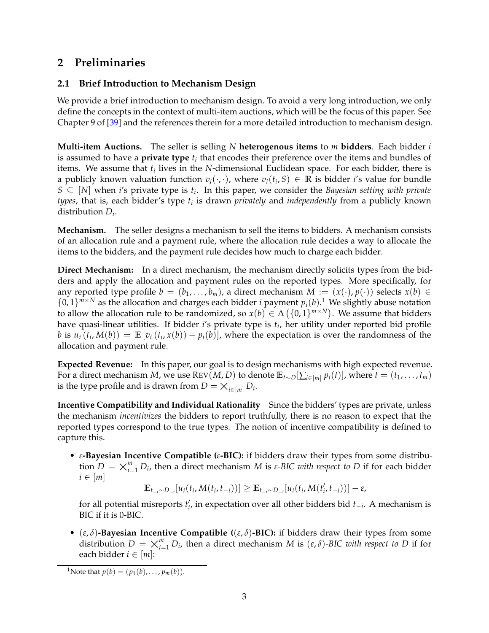# <span id="page-3-1"></span>**2 Preliminaries**

### **2.1 Brief Introduction to Mechanism Design**

We provide a brief introduction to mechanism design. To avoid a very long introduction, we only define the concepts in the context of multi-item auctions, which will be the focus of this paper. See Chapter 9 of [\[39\]](#page-18-10) and the references therein for a more detailed introduction to mechanism design.

**Multi-item Auctions.** The seller is selling *N* **heterogenous items** to *m* **bidders**. Each bidder *i* is assumed to have a  $\bold{private}$  ty $\bold{pe}$   $t_i$  that encodes their preference over the items and bundles of items. We assume that *t<sup>i</sup>* lives in the *N*-dimensional Euclidean space. For each bidder, there is a publicly known valuation function  $v_i(\cdot,\cdot)$ , where  $v_i(t_i,S) \in \mathbb{R}$  is bidder *i*'s value for bundle  $S \subseteq [N]$  when *i*'s private type is  $t_i$ . In this paper, we consider the *Bayesian setting with private types*, that is, each bidder's type *t<sup>i</sup>* is drawn *privately* and *independently* from a publicly known distribution *D<sup>i</sup>* .

**Mechanism.** The seller designs a mechanism to sell the items to bidders. A mechanism consists of an allocation rule and a payment rule, where the allocation rule decides a way to allocate the items to the bidders, and the payment rule decides how much to charge each bidder.

**Direct Mechanism:** In a direct mechanism, the mechanism directly solicits types from the bidders and apply the allocation and payment rules on the reported types. More specifically, for any reported type profile  $b = (b_1, \ldots, b_m)$ , a direct mechanism  $M := (x(\cdot), p(\cdot))$  selects  $x(b) \in$  $\{0,1\}^{m \times N}$  $\{0,1\}^{m \times N}$  $\{0,1\}^{m \times N}$  as the allocation and charges each bidder *i* payment  $p_i(b)$ .<sup>1</sup> We slightly abuse notation to allow the allocation rule to be randomized, so  $x(b) \in \Delta(\{0,1\}^{m \times N})$ . We assume that bidders have quasi-linear utilities. If bidder *i*'s private type is *t<sup>i</sup>* , her utility under reported bid profile *b* is  $u_i(t_i, M(b)) = \mathbb{E}[v_i(t_i, x(b)) - p_i(b)]$ , where the expectation is over the randomness of the allocation and payment rule.

**Expected Revenue:** In this paper, our goal is to design mechanisms with high expected revenue. For a direct mechanism *M*, we use  $\text{Rev}(M, D)$  to denote  $\mathbb{E}_{t \sim D}[\sum_{i \in [m]} p_i(t)]$ , where  $t = (t_1, \ldots, t_m)$ is the type profile and is drawn from  $D = \times_{i \in [m]} D_i$ .

**Incentive Compatibility and Individual Rationality** Since the bidders' types are private, unless the mechanism *incentivizes* the bidders to report truthfully, there is no reason to expect that the reported types correspond to the true types. The notion of incentive compatibility is defined to capture this.

• *ε***-Bayesian Incentive Compatible (***ε***-BIC):** if bidders draw their types from some distribution  $D = \bigtimes_{i=1}^{m} D_i$ , then a direct mechanism *M* is *ε-BIC with respect to D* if for each bidder  $i \in [m]$  $i \in [m]$ 

 $\mathbb{E}_{t_{-i} \sim D_{-i}}[u_i(t_i, M(t_i, t_{-i}))] \geq \mathbb{E}_{t_{-i} \sim D_{-i}}[u_i(t_i, M(t'_i, t_{-i}))] - \varepsilon$ 

for all potential misreports *t*<sup>'</sup><sub>*i*</sub>, in expectation over all other bidders bid *t*<sub>−*i*</sub>. A mechanism is BIC if it is 0-BIC.

• (*ε*, *δ*)**-Bayesian Incentive Compatible (**(*ε*, *δ*)**-BIC):** if bidders draw their types from some distribution  $D = \bigtimes_{i=1}^{m} D_i$ , then a direct mechanism *M* is  $(\varepsilon, \delta)$ -*BIC with respect to D* if for each bidder  $i \in [m]$ :

<span id="page-3-0"></span><sup>&</sup>lt;sup>1</sup>Note that  $p(b) = (p_1(b), \ldots, p_m(b)).$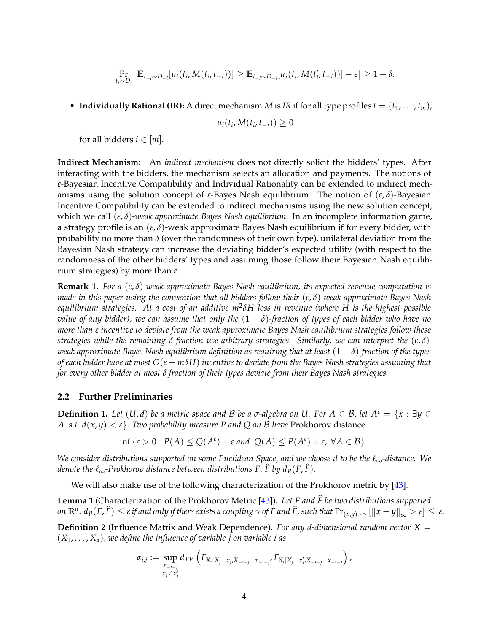$$
\Pr_{t_i \sim D_i} [\mathbb{E}_{t_{-i} \sim D_{-i}}[u_i(t_i, M(t_i, t_{-i}))] \geq \mathbb{E}_{t_{-i} \sim D_{-i}}[u_i(t_i, M(t'_i, t_{-i}))] - \varepsilon] \geq 1 - \delta.
$$

• **Individually Rational (IR):** A direct mechanism *M* is *IR* if for all type profiles  $t = (t_1, \ldots, t_m)$ ,

$$
u_i(t_i, M(t_i, t_{-i})) \geq 0
$$

for all bidders  $i \in [m]$ .

**Indirect Mechanism:** An *indirect mechanism* does not directly solicit the bidders' types. After interacting with the bidders, the mechanism selects an allocation and payments. The notions of *ε*-Bayesian Incentive Compatibility and Individual Rationality can be extended to indirect mechanisms using the solution concept of *ε*-Bayes Nash equilibrium. The notion of (*ε*, *δ*)-Bayesian Incentive Compatibility can be extended to indirect mechanisms using the new solution concept, which we call (*ε*, *δ*)*-weak approximate Bayes Nash equilibrium*. In an incomplete information game, a strategy profile is an (*ε*, *δ*)-weak approximate Bayes Nash equilibrium if for every bidder, with probability no more than  $\delta$  (over the randomness of their own type), unilateral deviation from the Bayesian Nash strategy can increase the deviating bidder's expected utility (with respect to the randomness of the other bidders' types and assuming those follow their Bayesian Nash equilibrium strategies) by more than *ε*.

<span id="page-4-0"></span>**Remark 1.** *For a* (*ε*, *δ*)*-weak approximate Bayes Nash equilibrium, its expected revenue computation is made in this paper using the convention that all bidders follow their* (*ε*, *δ*)*-weak approximate Bayes Nash equilibrium strategies. At a cost of an additive m*<sup>2</sup> *δH loss in revenue (where H is the highest possible value of any bidder), we can assume that only the*  $(1 - \delta)$ -fraction of types of each bidder who have no *more than ε incentive to deviate from the weak approximate Bayes Nash equilibrium strategies follow these strategies while the remaining δ fraction use arbitrary strategies. Similarly, we can interpret the* (*ε*, *δ*) *weak approximate Bayes Nash equilibrium definition as requiring that at least* (1 − *δ*)*-fraction of the types of each bidder have at most*  $O(\varepsilon + m\delta H)$  *incentive to deviate from the Bayes Nash strategies assuming that for every other bidder at most δ fraction of their types deviate from their Bayes Nash strategies.*

### <span id="page-4-2"></span>**2.2 Further Preliminaries**

**Definition 1.** Let  $(U, d)$  be a metric space and B be a  $\sigma$ -algebra on U. For  $A \in \mathcal{B}$ , let  $A^{\varepsilon} = \{x : \exists y \in \mathcal{B}\}$ *A* s.*t*  $d(x, y) < \varepsilon$ *)*. Two probability measure P and Q on B have Prokhorov distance

$$
\inf \left\{ \varepsilon > 0 : P(A) \leq Q(A^{\varepsilon}) + \varepsilon \text{ and } Q(A) \leq P(A^{\varepsilon}) + \varepsilon, \ \forall A \in \mathcal{B} \right\}.
$$

*We consider distributions supported on some Euclidean Space, and we choose d to be the*  $\ell_{\infty}$ -distance. We *denote the*  $\ell_{\infty}$ -Prokhorov distance between distributions F, F by  $d_{P}(F, F)$ .

<span id="page-4-1"></span>We will also make use of the following characterization of the Prokhorov metric by [\[43\]](#page-18-11).

**Lemma 1** (Characterization of the Prokhorov Metric [\[43\]](#page-18-11))**.** *Let F and F be two distributions supported* b on  $\mathbb{R}^n$ .  $d_P(F,\widehat{F})\leq \varepsilon$  if and only if there exists a coupling  $\gamma$  of F and  $\widehat{F}$ , such that  $\Pr_{(x,y)\sim\gamma}[\|x-y\|_\infty>\varepsilon]\leq\varepsilon$ .

**Definition 2** (Influence Matrix and Weak Dependence)**.** *For any d-dimensional random vector X* =  $(X_1, \ldots, X_d)$ , we define the influence of variable *j* on variable *i* as

$$
\alpha_{i,j} := \sup_{\substack{x_{-i-j} \\ x_j \neq x'_j}} d_{TV} \left( F_{X_i | X_j = x_j, X_{-i-j} = x_{-i-j'}} F_{X_i | X_j = x'_j, X_{-i-j} = x_{-i-j}} \right),
$$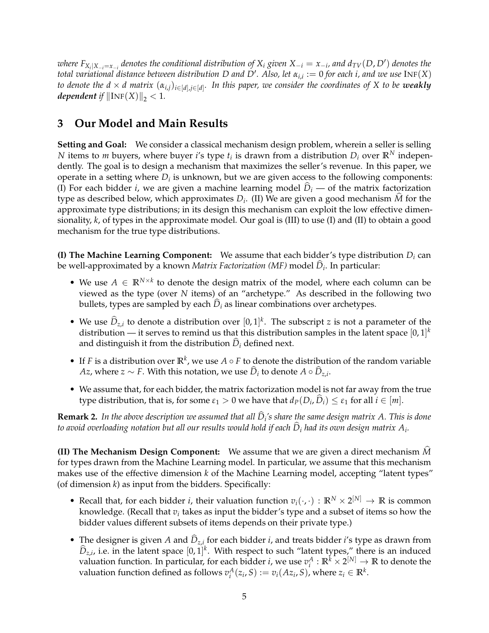where  $F_{X_i|X_{-i}=x_{-i}}$  denotes the conditional distribution of  $X_i$  given  $X_{-i}=x_{-i}$ , and  $d_{TV}(D, D')$  denotes the *total variational distance between distribution D and D*′ *. Also, let αi*,*<sup>i</sup>* := 0 *for each i, and we use* INF(*X*) *to denote the d* × *d matrix* (*αi*,*j*)*i*∈[*d*],*j*∈[*d*] *. In this paper, we consider the coordinates of X to be weakly dependent if*  $\|\text{INF}(X)\|_2 < 1$ *.* 

## **3 Our Model and Main Results**

**Setting and Goal:** We consider a classical mechanism design problem, wherein a seller is selling *N* items to *m* buyers, where buyer *i*'s type  $t_i$  is drawn from a distribution  $D_i$  over  $\mathbb{R}^N$  independently. The goal is to design a mechanism that maximizes the seller's revenue. In this paper, we operate in a setting where  $D_i$  is unknown, but we are given access to the following components: (I) For each bidder *i*, we are given a machine learning model  $\ddot{D}_i$  — of the matrix factorization type as described below, which approximates  $D_i$ . (II) We are given a good mechanism M for the approximate type distributions; in its design this mechanism can exploit the low effective dimensionality, *k*, of types in the approximate model. Our goal is (III) to use (I) and (II) to obtain a good mechanism for the true type distributions.

**(I) The Machine Learning Component:** We assume that each bidder's type distribution *D<sup>i</sup>* can be well-approximated by a known *Matrix Factorization (MF)* model  $D_i$ . In particular:

- We use  $A \in \mathbb{R}^{N \times k}$  to denote the design matrix of the model, where each column can be viewed as the type (over *N* items) of an "archetype." As described in the following two bullets, types are sampled by each  $\hat{D}_i$  as linear combinations over archetypes.
- We use  $\hat{D}_{z,i}$  to denote a distribution over  $[0,1]^k$ . The subscript *z* is not a parameter of the distribution — it serves to remind us that this distribution samples in the latent space  $[0,1]^k$ and distinguish it from the distribution  $\ddot{D}_i$  defined next.
- If *F* is a distribution over  $\mathbb{R}^k$ , we use *A*  $\circ$  *F* to denote the distribution of the random variable *Az,* where  $z$  ∼ *F*. With this notation, we use  $D_i$  to denote  $A \circ D_{z,i}$ .
- We assume that, for each bidder, the matrix factorization model is not far away from the true type distribution, that is, for some  $\varepsilon_1 > 0$  we have that  $d_P(D_i, \widehat{D}_i) \leq \varepsilon_1$  for all  $i \in [m]$ .

**Remark 2.** *In the above description we assumed that all D*b*<sup>i</sup> 's share the same design matrix A. This is done* to avoid overloading notation but all our results would hold if each  $D_i$  had its own design matrix  $A_i$ .

**(II) The Mechanism Design Component:** We assume that we are given a direct mechanism *M*b for types drawn from the Machine Learning model. In particular, we assume that this mechanism makes use of the effective dimension *k* of the Machine Learning model, accepting "latent types" (of dimension *k*) as input from the bidders. Specifically:

- Recall that, for each bidder *i*, their valuation function  $v_i(\cdot, \cdot) : \mathbb{R}^N \times 2^{[N]} \to \mathbb{R}$  is common knowledge. (Recall that  $v_i$  takes as input the bidder's type and a subset of items so how the bidder values different subsets of items depends on their private type.)
- The designer is given *A* and  $D_{z,i}$  for each bidder *i*, and treats bidder *i*'s type as drawn from  $\widehat{D}_{z,i}$ , i.e. in the latent space  $[0,1]^k$ . With respect to such "latent types," there is an induced valuation function. In particular, for each bidder *i*, we use  $v_i^A : \mathbb{R}^k \times 2^{[N]} \to \mathbb{R}$  to denote the valuation function defined as follows  $v_i^A(z_i, S) := v_i(Az_i, S)$ , where  $z_i \in \mathbb{R}^k$ .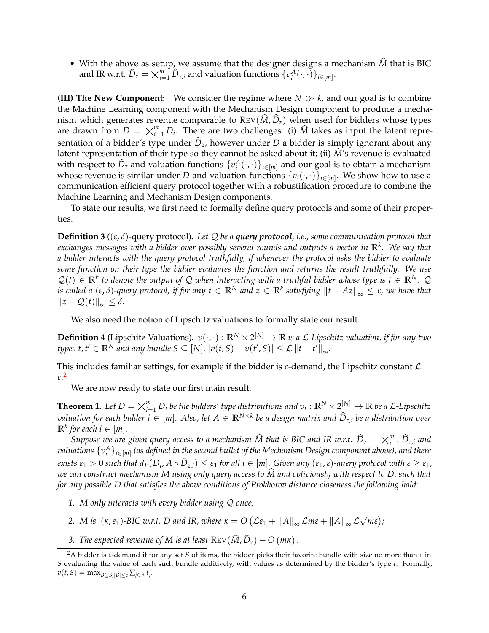• With the above as setup, we assume that the designer designs a mechanism  $\widehat{M}$  that is BIC and IR w.r.t.  $\widehat{D}_z = \bigtimes_{i=1}^m \widehat{D}_{z,i}$  and valuation functions  $\{v_i^A(\cdot,\cdot)\}_{i \in [m]}.$ 

**(III) The New Component:** We consider the regime where  $N \gg k$ , and our goal is to combine the Machine Learning component with the Mechanism Design component to produce a mechanism which generates revenue comparable to  $\text{Rev}(\hat{M}, \hat{D}_z)$  when used for bidders whose types are drawn from  $D = \bigtimes_{i=1}^{m} D_i$ . There are two challenges: (i)  $\hat{M}$  takes as input the latent repre-<br>contation of a hidder's type under  $\hat{D}$ , however under  $D$  a hidder is simply ignorant about any sentation of a bidder's type under  $\hat{D}_z$ , however under *D* a bidder is simply ignorant about any latent representation of their type so they cannot be asked about it; (ii)  $\hat{M}$ 's revenue is evaluated with respect to  $\hat{D}_z$  and valuation functions  $\{v_i^A(\cdot,\cdot)\}_{i\in[m]}$  and our goal is to obtain a mechanism whose revenue is similar under *D* and valuation functions  $\{v_i(\cdot,\cdot)\}_{i\in[m]}$ . We show how to use a communication efficient query protocol together with a robustification procedure to combine the Machine Learning and Mechanism Design components.

To state our results, we first need to formally define query protocols and some of their properties.

**Definition 3** ((*ε*, *δ*)-query protocol)**.** *Let* Q *be a query protocol, i.e., some communication protocol that exchanges messages with a bidder over possibly several rounds and outputs a vector in* **R***<sup>k</sup> . We say that a bidder interacts with the query protocol truthfully, if whenever the protocol asks the bidder to evaluate some function on their type the bidder evaluates the function and returns the result truthfully. We use*  $\mathcal{Q}(t) \in \mathbb{R}^k$  to denote the output of Q when interacting with a truthful bidder whose type is  $t \in \mathbb{R}^N$ . Q *is called a*  $(\varepsilon, \delta)$ -query protocol, if for any  $t \in \mathbb{R}^N$  and  $z \in \mathbb{R}^k$  satisfying  $||t - Az||_{\infty} \leq \varepsilon$ , we have that  $||z - \mathcal{Q}(t)||_{\infty} \leq \delta.$ 

We also need the notion of Lipschitz valuations to formally state our result.

**Definition 4** (Lipschitz Valuations).  $v(\cdot, \cdot): \mathbb{R}^N \times 2^{[N]} \to \mathbb{R}$  *is a L-Lipschitz valuation, if for any two types*  $t, t' \in \mathbb{R}^N$  *and any bundle*  $S \subseteq [N]$ *,*  $|v(t, S) - v(t', S)| \leq \mathcal{L} ||t - t'||_{\infty}$ .

This includes familiar settings, for example if the bidder is *c*-demand, the Lipschitz constant  $\mathcal{L} =$ *c*. [2](#page-6-1)

<span id="page-6-0"></span>We are now ready to state our first main result.

**Theorem 1.** Let  $D = \bigtimes_{i=1}^{m} D_i$  be the bidders' type distributions and  $v_i : \mathbb{R}^N \times 2^{[N]} \to \mathbb{R}$  be a L-Lipschitz<br>graduation for each hidder  $i \in [m]$ . Also, let  $A \in \mathbb{R}^{N \times k}$  be a decise matrix and  $\widehat{D}$ , be  $\sigma$  *valuation for each bidder i* ∈ [m]. Also, let  $A \in \mathbb{R}^{N \times k}$  be a design matrix and  $\widehat{D}_{z,i}$  be a distribution over  $\mathbb{R}^k$  *for each*  $i \in [m]$ *.* 

*Suppose we are given query access to a mechanism*  $\widehat{M}$  *that is BIC and IR w.r.t.*  $\widehat{D}_z = \underset{i=1}{\times}^m_{i=1} \widehat{D}_{z,i}$  *and*  $D_z$  *and there*  $p$  *and there valuations* {*v A i* }*i*∈[*m*] *(as defined in the second bullet of the Mechanism Design component above), and there* exists  $\varepsilon_1 > 0$  such that  $d_P(D_i, A \circ \widehat{D}_{z,i}) \leq \varepsilon_1$  for all  $i \in [m]$ . Given any  $(\varepsilon_1, \varepsilon)$ -query protocol with  $\varepsilon \geq \varepsilon_1$ , *we can construct mechanism M using only query access to M and obliviously with respect to D, such that* b *for any possible D that satisfies the above conditions of Prokhorov distance closeness the following hold:*

- *1. M only interacts with every bidder using* Q *once;*
- 2. *M* is  $(\kappa, \varepsilon_1)$ -BIC w.r.t. D and IR, where  $\kappa = O\left( \mathcal{L}\varepsilon_1 + ||A||_{\infty} \mathcal{L}m\varepsilon + ||A||_{\infty} \mathcal{L}\sqrt{m\varepsilon} \right)$ ;
- *3. The expected revenue of M is at least*  $\text{Rev}(\hat{M}, \hat{D}_z) O(m\kappa)$ .

<span id="page-6-1"></span><sup>2</sup>A bidder is *c*-demand if for any set *S* of items, the bidder picks their favorite bundle with size no more than *c* in *S* evaluating the value of each such bundle additively, with values as determined by the bidder's type *t*. Formally,  $v(t, S) = \max_{B \subseteq S, |B| \le c} \sum_{j \in B} t_j$ .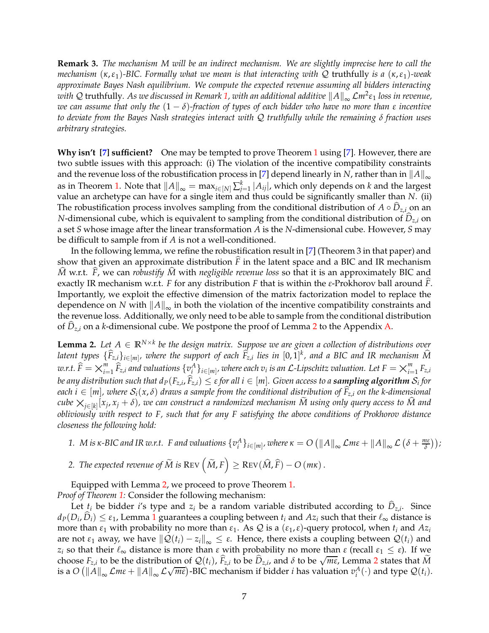**Remark 3.** *The mechanism M will be an indirect mechanism. We are slightly imprecise here to call the mechanism* (*κ*,*ε*1)*-BIC. Formally what we mean is that interacting with* Q truthfully *is a* (*κ*,*ε*1)*-weak approximate Bayes Nash equilibrium. We compute the expected revenue assuming all bidders interacting with ℚ truthfully. As we discussed in Remark [1,](#page-4-0) with an additional additive*  $\|A\|_∞$  *Lm<sup>2</sup>ε1 <i>loss in revenue, we can assume that only the* (1 − *δ*)*-fraction of types of each bidder who have no more than ε incentive to deviate from the Bayes Nash strategies interact with* Q *truthfully while the remaining δ fraction uses arbitrary strategies.*

<span id="page-7-1"></span>**Why isn't [\[7\]](#page-16-12) sufficient?** One may be tempted to prove Theorem [1](#page-6-0) using [\[7\]](#page-16-12). However, there are two subtle issues with this approach: (i) The violation of the incentive compatibility constraints and the revenue loss of the robustification process in [\[7\]](#page-16-12) depend linearly in *N*, rather than in  $||A||_{\infty}$ as in Theorem [1.](#page-6-0) Note that  $||A||_{\infty} = \max_{i \in [N]} \sum_{j=1}^{k} |A_{ij}|$ , which only depends on *k* and the largest value an archetype can have for a single item and thus could be significantly smaller than *N*. (ii) The robustification process involves sampling from the conditional distribution of  $A \circ D_{z,i}$  on an *N*-dimensional cube, which is equivalent to sampling from the conditional distribution of  $D_{z,i}$  on a set *S* whose image after the linear transformation *A* is the *N*-dimensional cube. However, *S* may be difficult to sample from if *A* is not a well-conditioned.

In the following lemma, we refine the robustification result in [\[7\]](#page-16-12) (Theorem 3 in that paper) and show that given an approximate distribution  $\tilde{F}$  in the latent space and a BIC and IR mechanism  $\hat{M}$  w.r.t.  $\hat{F}$ , we can *robustify*  $\hat{M}$  with *negligible revenue loss* so that it is an approximately BIC and exactly IR mechanism w.r.t. *F* for any distribution *F* that is within the *ε*-Prokhorov ball around *F*b. Importantly, we exploit the effective dimension of the matrix factorization model to replace the dependence on *N* with  $||A||_{\infty}$  in both the violation of the incentive compatibility constraints and the revenue loss. Additionally, we only need to be able to sample from the conditional distribution of *D*b*z*,*<sup>i</sup>* on a *k*-dimensional cube. We postpone the proof of Lemma [2](#page-7-0) to the Appendix [A.](#page-18-12)

<span id="page-7-0"></span>**Lemma 2.** Let  $A \in \mathbb{R}^{N \times k}$  be the design matrix. Suppose we are given a collection of distributions over *latent types*  $\{\widehat{F}_{z,i}\}_{i\in[m]}$ , where the support of each  $\widehat{F}_{z,i}$  lies in  $[0,1]^k$ , and a BIC and IR mechanism  $\widehat{M}$  $w.r.t. \ \widehat{F} = \bigtimes_{i=1}^{m}$  $\sum_{i=1}^{m} \widehat{F}_{z,i}$  and valuations  $\{v_i^A\}_{i \in [m]}$ , where each  $v_i$  is an  $\mathcal{L}$ -Lipschitz valuation. Let  $F = \times_{i=1}^{m}$ <br>which angle that d (F<sub>n</sub>  $\widehat{F}_i$ ) a c for all i a [m]. Given access to a commuting algorithm.  $\sum_{i=1}^m F_{z,i}$ *be any distribution such that*  $d_P(F_{z,i}, F_{z,i}) \leq \varepsilon$  *for all*  $i \in [m]$ *. Given access to a sampling algorithm*  $\mathcal{S}_i$  *for each*  $i \in [m]$ , where  $S_i(x, \delta)$  draws a sample from the conditional distribution of  $\hat{F}_{z,i}$  on the k-dimensional *cube*  $\times_{j\in[k]} [x_j, x_j + \delta)$ , we can construct a randomized mechanism M using only query access to M and<br>obligately suith recover to E, such that for any E satisfying the above conditions of Prokhoren distance *obliviously with respect to F, such that for any F satisfying the above conditions of Prokhorov distance closeness the following hold:*

- 1. M is  $\kappa$ -BIC and IR w.r.t. F and valuations  $\{v_i^A\}_{i\in[m]},$  where  $\kappa=O\left(\|A\|_\infty\mathcal{L}$ m $\epsilon+\|A\|_\infty\mathcal{L}\left(\delta+\frac{m\epsilon}{\delta}\right)\right)$ ;
- $2.$  *The expected revenue of*  $\widetilde{M}$  *is*  $\text{Rev}\left(\widetilde{M},F\right) \geq \text{Rev}(\widehat{M},\widehat{F}) O\left(m\kappa\right).$

Equipped with Lemma [2,](#page-7-0) we proceed to prove Theorem [1.](#page-6-0) *Proof of Theorem [1:](#page-6-0)* Consider the following mechanism:

Let  $t_i$  be bidder *i*'s type and  $z_i$  be a random variable distributed according to  $D_{z,i}$ . Since  $d_P(D_i, \widehat{D}_i) \leq \varepsilon_1$  $d_P(D_i, \widehat{D}_i) \leq \varepsilon_1$ , Lemma 1 guarantees a coupling between  $t_i$  and  $Az_i$  such that their  $\ell_{\infty}$  distance is more than  $ε_1$  with probability no more than  $ε_1$ . As  $Q$  is a  $(ε_1, ε)$ -query protocol, when  $t_i$  and  $Az_i$ are not  $\varepsilon_1$  away, we have  $\|\mathcal{Q}(t_i) - z_i\|_{\infty} \leq \varepsilon$ . Hence, there exists a coupling between  $\mathcal{Q}(t_i)$  and *z*<sub>*i*</sub> so that their  $\ell_{\infty}$  distance is more than *ε* with probability no more than *ε* (recall  $\epsilon_1 \leq \epsilon$ ). If we choose  $F_{z,i}$  to be the distribution of  $\mathcal{Q}(t_i)$ ,  $\hat{F}_{z,i}$  to be  $\hat{D}_{z,i}$ , and  $\delta$  to be  $\sqrt{m\epsilon}$ , Lemma [2](#page-7-0) states that  $\tilde{M}$ is a  $O\left(\frac{||A||_{\infty}}{\mathcal{L}m\epsilon} + \frac{||A||_{\infty}}{\mathcal{L}\sqrt{m\epsilon}}\right)$ -BIC mechanism if bidder *i* has valuation  $v_i^A(\cdot)$  and type  $\mathcal{Q}(t_i)$ .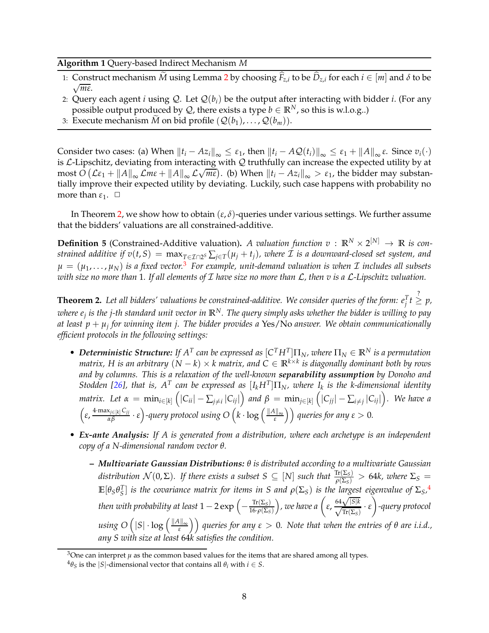#### **Algorithm 1** Query-based Indirect Mechanism *M*

- 1: Construct mechanism *M* using Lemma [2](#page-7-0) by choosing  $F_{z,i}$  to be  $D_{z,i}$  for each  $i \in [m]$  and  $\delta$  to be √ *mε*.
- 2: Query each agent *i* using Q. Let  $\mathcal{Q}(b_i)$  be the output after interacting with bidder *i*. (For any possible output produced by  $Q$ , there exists a type  $b \in \mathbb{R}^N$ , so this is w.l.o.g..)
- 3: Execute mechanism *M* on bid profile  $(Q(b_1), \ldots, Q(b_m))$ .

Consider two cases: (a) When  $||t_i - Az_i||_{\infty} \leq \varepsilon_1$ , then  $||t_i - AQ(t_i)||_{\infty} \leq \varepsilon_1 + ||A||_{\infty} \varepsilon$ . Since  $v_i(\cdot)$ is  $\mathcal{L}\text{-Lipschitz}$ , deviating from interacting with  $\mathcal{Q}$  truthfully can increase the expected utility by at  $\frac{1}{\pi}$  most  $O\left(\mathcal{L}\epsilon_1 + \|A\|_{\infty} \mathcal{L} \pi \epsilon + \|A\|_{\infty} \mathcal{L} \sqrt{m\epsilon}\right)$ . (b) When  $\|t_i - Az_i\|_{\infty} > \epsilon_1$ , the bidder may substantially improve their expected utility by deviating. Luckily, such case happens with probability no more than  $\varepsilon_1$ .  $\Box$ 

<span id="page-8-0"></span>In Theorem [2,](#page-8-1) we show how to obtain  $(\varepsilon, \delta)$ -queries under various settings. We further assume that the bidders' valuations are all constrained-additive.

**Definition 5** (Constrained-Additive valuation). *A valuation function*  $v : \mathbb{R}^N \times 2^{[N]} \to \mathbb{R}$  *is con* $s$ trained additive if  $v(t,S) = \max_{T \in \mathcal{I} \cap 2^S} \sum_{j \in T} (\mu_j+t_j)$ , where  $\mathcal I$  is a downward-closed set system, and  $\mu = (\mu_1, \dots, \mu_N)$  *is a fixed vector.*<sup>[3](#page-8-2)</sup> For example, unit-demand valuation is when  $\mathcal I$  includes all subsets *with size no more than* 1*. If all elements of* I *have size no more than* L*, then v is a* L*-Lipschitz valuation.*

<span id="page-8-1"></span>**Theorem 2.** Let all bidders' valuations be constrained-additive. We consider queries of the form:  $e_j^T t \geqq p$ , *where e<sup>j</sup> is the j-th standard unit vector in* **R***N. The query simply asks whether the bidder is willing to pay at least p* + *µ<sup>j</sup> for winning item j. The bidder provides a* Yes/No *answer. We obtain communicationally efficient protocols in the following settings:*

- **Deterministic Structure:** If  $A<sup>T</sup>$  can be expressed as  $[C<sup>T</sup>H<sup>T</sup>]\Pi<sub>N</sub>$ , where  $\Pi<sub>N</sub> \in \mathbb{R}<sup>N</sup>$  is a permutation *matrix, H is an arbitrary* (*<sup>N</sup>* <sup>−</sup> *<sup>k</sup>*) <sup>×</sup> *k matrix, and C* <sup>∈</sup> **<sup>R</sup>***k*×*<sup>k</sup> is diagonally dominant both by rows and by columns. This is a relaxation of the well-known separability assumption by Donoho and Stodden [\[26\]](#page-17-13), that is,*  $A^T$  *can be expressed as*  $[I_k H^T]\Pi_N$ *, where*  $I_k$  *is the k-dimensional identity* matrix. Let  $\alpha = \min_{i \in [k]} (|C_{ii}| - \sum_{j \neq i} |C_{ij}|)$  and  $\beta = \min_{j \in [k]} (|C_{jj}| - \sum_{i \neq j} |C_{ij}|)$ . We have a  $\left(\varepsilon, \frac{4 \cdot \max_{j \in [k]} C_{jj}}{\alpha \beta} \cdot \varepsilon\right)$ -query protocol using  $O\left(k \cdot \log\left(\frac{\|A\|_{\infty}}{\varepsilon}\right)\right)$  queries for any  $\varepsilon > 0$ .
- *Ex-ante Analysis: If A is generated from a distribution, where each archetype is an independent copy of a N-dimensional random vector θ.*
	- **–** *Multivariate Gaussian Distributions: θ is distributed according to a multivariate Gaussian distribution*  $\mathcal{N}(0,\Sigma)$ *. If there exists a subset*  $S \subseteq [N]$  *such that*  $\frac{\text{Tr}(\Sigma_S)}{\rho(\Sigma_S)} > 64k$ *, where*  $\Sigma_S =$  $\mathbb{E}[\theta_S \theta_S^T]$  is the covariance matrix for items in S and  $\rho(\Sigma_S)$  is the largest eigenvalue of  $\Sigma_S$ ,<sup>[4](#page-8-3)</sup> then with probability at least  $1-2\exp\left(-\frac{\text{Tr}(\Sigma_S)}{16 \cdot \rho(\Sigma_S)}\right)$ <sup>16</sup>·*ρ*(Σ*S*)  $\int$ , we have a  $\left(\varepsilon, \frac{64\sqrt{|S|k}}{\sqrt{\text{Tr}(\Sigma_S)}} \cdot \varepsilon\right)$ Ī *-query protocol*  $u$ sing  $O\left(|S|\cdot \log\left(\frac{\|A\|_\infty}{\varepsilon}\right)\right)$  queries for any  $\varepsilon>0.$  Note that when the entries of  $\theta$  are i.i.d., *any S with size at least* 64*k satisfies the condition.*

<sup>&</sup>lt;sup>3</sup>One can interpret *µ* as the common based values for the items that are shared among all types.

<span id="page-8-3"></span><span id="page-8-2"></span> $^{4}\theta_{S}$  is the  $|S|$ -dimensional vector that contains all  $\theta_{i}$  with  $i \in S$ .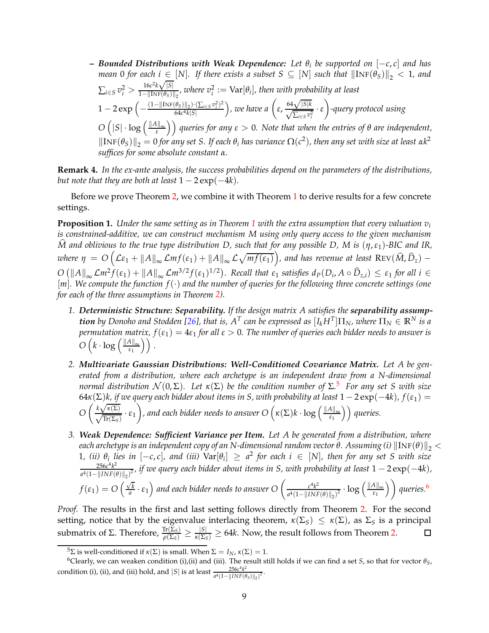**–** *Bounded Distributions with Weak Dependence: Let θ<sup>i</sup> be supported on* [−*c*, *c*] *and has mean* 0 *for each*  $i \in [N]$ *. If there exists a subset*  $S \subseteq [N]$  *such that*  $\|\text{INF}(\theta_S)\|_2 < 1$ *, and*  $\sum_{i \in S} v_i^2 > \frac{16c^2k\sqrt{|S|}}{1 - ||\text{INF}(\theta_S)||}$  $\frac{16c^{2}K\sqrt{|S|}}{1-\|\text{INF}(\theta_{S})\|_{2}}$ , where  $v_i^2 := \text{Var}[\theta_i]$ , then with probability at least  $1-2\exp\left(-\frac{(1-\|\text{INF}(\theta_S)\|_2)\cdot(\sum_{i\in S}v_i^2)^2}{64c^4k|S|}\right)$ 64*c* <sup>4</sup>*k*|*S*| *)*, we have a  $\left(\varepsilon, \frac{64\sqrt{|S|k}}{\sqrt{\sum_{i \in S} v_i^2}} \cdot \varepsilon\right)$  $\setminus$ *-query protocol using*  $O\left(|S|\cdot \log\left(\frac{\|A\|_\infty}{\varepsilon}\right)\right)$  queries for any  $\varepsilon>0$ . Note that when the entries of  $\theta$  are independent,  $\|\text{INF}(\theta_{\mathcal{S}})\|_2 = 0$  *for any set S. If each*  $\theta_i$  *has variance*  $\Omega(c^2)$ *, then any set with size at least*  $\alpha k^2$ *suffices for some absolute constant α.*

**Remark 4.** *In the ex-ante analysis, the success probabilities depend on the parameters of the distributions, but note that they are both at least*  $1 - 2 \exp(-4k)$ *.* 

<span id="page-9-0"></span>Before we prove Theorem [2,](#page-8-1) we combine it with Theorem [1](#page-6-0) to derive results for a few concrete settings.

**Proposition [1](#page-6-0).** *Under the same setting as in Theorem 1 with the extra assumption that every valuation*  $v_i$ *is constrained-additive, we can construct mechanism M using only query access to the given mechanism M* and oblivious to the true type distribution D, such that for any possible D, M is  $(\eta, \varepsilon_1)$ -BIC and IR,  $\omega$  *kere*  $\eta = O\left(\mathcal{L}\varepsilon_1 + \|A\|_\infty \mathcal{L} m f(\varepsilon_1) + \|A\|_\infty \mathcal{L} \sqrt{m f(\varepsilon_1)}\right)$ , and has revenue at least  $\text{Rev}(\widehat{M}, \widehat{D}_z) - \widehat{D}_z$  $O\left(\|A\|_{\infty} \mathcal{L}m^2 f(\varepsilon_1) + \|A\|_{\infty} \mathcal{L}m^{3/2} f(\varepsilon_1)^{1/2}\right)$ . Recall that  $\varepsilon_1$  satisfies  $d_P(D_i, A \circ \widehat{D}_{z,i}) \leq \varepsilon_1$  for all  $i \in$ [*m*]*. We compute the function f*(·) *and the number of queries for the following three concrete settings (one for each of the three assumptions in Theorem [2\)](#page-8-1).*

- <span id="page-9-3"></span>*1. Deterministic Structure: Separability. If the design matrix A satisfies the separability assump* $t$  *ton by Donoho and Stodden [\[26\]](#page-17-13), that is,*  $A^T$  *can be expressed as*  $[I_kH^T]\Pi_N$ *, where*  $\Pi_N\in\mathbb{R}^N$  *is a permutation matrix, f*(*ε*1) = 4*ε*<sup>1</sup> *for all ε* > 0*. The number of queries each bidder needs to answer is*  $O\left(k\cdot \log\left(\frac{\|A\|_{\infty}}{\varepsilon_1}\right)\right).$
- *2. Multivariate Gaussian Distributions: Well-Conditioned Covariance Matrix. Let A be generated from a distribution, where each archetype is an independent draw from a N-dimensional normal distribution*  $\mathcal{N}(0, \Sigma)$ *. Let*  $\kappa(\Sigma)$  *be the condition number of*  $\Sigma$ <sup>[5](#page-9-1)</sup> *For any set S* with size 64 $\kappa(\Sigma)$ *k*, if we query each bidder about items in S, with probability at least  $1 - 2 \exp(-4k)$ ,  $f(\varepsilon_1) =$ *O*  $\left(\frac{k\sqrt{\kappa(\Sigma)}}{\sqrt{\text{Tr}(\Sigma_S)}} \cdot \varepsilon_1\right)$ *)*, and each bidder needs to answer  $O\left(\kappa(\Sigma)k \cdot \log\left(\frac{\|A\|_{\infty}}{\varepsilon_1}\right)\right)$  queries.
- *3. Weak Dependence: Sufficient Variance per Item. Let A be generated from a distribution, where each archetype is an independent copy of an N-dimensional random vector*  $\theta$ *. Assuming (i)*  $\|\text{INF}(\theta)\|_{2} <$ 1, (*ii*)  $\theta_i$  lies in  $[-c, c]$ , and (*iii*)  $\text{Var}[\theta_i] \ge a^2$  for each  $i \in [N]$ , then for any set S with size  $256c^4k^2$  $\frac{256c^4k^2}{a^4(1-\|INF(\theta)\|_2)^2}$ , if we query each bidder about items in S, with probability at least  $1-2\exp(-4k)$ ,  $f(\varepsilon_1) = O\left(\frac{\sqrt{k}}{a}\right)$  $\sqrt{\frac{k}{a}} \cdot \varepsilon_1$  ) and each bidder needs to answer O  $\Big(\frac{c^4 k^2}{a^4 (1 - \|INF\|)}\Big)$  $\frac{c^4k^2}{a^4(1-||INF(\theta)||_2)^2}$  · log  $\left(\frac{||A||_∞}{ε₁}$ *queries.*[6](#page-9-2)

*Proof.* The results in the first and last setting follows directly from Theorem [2.](#page-8-1) For the second setting, notice that by the eigenvalue interlacing theorem,  $\kappa(\Sigma_S) \leq \kappa(\Sigma)$ , as  $\Sigma_S$  is a principal  $\frac{\text{submatrix of } \Sigma. \text{ Therefore, } \frac{\text{Tr}(\Sigma_S)}{\rho(\Sigma_S)} \ge \frac{|S|}{\kappa(\Sigma_S)} \ge 64k. \text{ Now, the result follows from Theorem 2.}$  $\frac{\text{submatrix of } \Sigma. \text{ Therefore, } \frac{\text{Tr}(\Sigma_S)}{\rho(\Sigma_S)} \ge \frac{|S|}{\kappa(\Sigma_S)} \ge 64k. \text{ Now, the result follows from Theorem 2.}$  $\frac{\text{submatrix of } \Sigma. \text{ Therefore, } \frac{\text{Tr}(\Sigma_S)}{\rho(\Sigma_S)} \ge \frac{|S|}{\kappa(\Sigma_S)} \ge 64k. \text{ Now, the result follows from Theorem 2.}$  $\Box$ 

<span id="page-9-1"></span><sup>&</sup>lt;sup>5</sup>Σ is well-conditioned if *κ*(Σ) is small. When  $\Sigma = I_N$ , *κ*(Σ) = 1.

<span id="page-9-2"></span> $^6$ Clearly, we can weaken condition (i),(ii) and (iii). The result still holds if we can find a set *S*, so that for vector  $\theta_S$ , condition (i), (ii), and (iii) hold, and  $|S|$  is at least  $\frac{256c^4k^2}{a^4(1-11)NF(6)}$  $\frac{256c^4k^2}{a^4(1-\|INF(\theta_S)\|_2)^2}$ .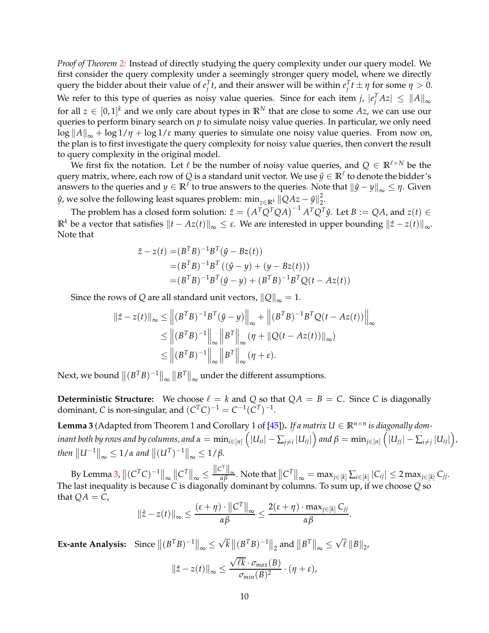*Proof of Theorem [2:](#page-8-1)* Instead of directly studying the query complexity under our query model. We first consider the query complexity under a seemingly stronger query model, where we directly query the bidder about their value of  $e_j^T t$ , and their answer will be within  $e_j^T t \pm \eta$  for some  $\eta > 0$ . We refer to this type of queries as noisy value queries. Since for each item *j,*  $|e_j^T A z| \leq \|A\|_{\infty}$ for all  $z \in [0,1]^k$  and we only care about types in  $\mathbb{R}^N$  that are close to some  $Az$ , we can use our queries to perform binary search on *p* to simulate noisy value queries. In particular, we only need  $\log ||A||_{\infty} + \log 1/\eta + \log 1/\varepsilon$  many queries to simulate one noisy value queries. From now on, the plan is to first investigate the query complexity for noisy value queries, then convert the result to query complexity in the original model.

We first fix the notation. Let  $\ell$  be the number of noisy value queries, and  $Q \in \mathbb{R}^{\ell \times N}$  be the query matrix, where, each row of Q is a standard unit vector. We use  $\hat{y} \in \mathbb{R}^{\ell}$  to denote the bidder's answers to the queries and  $y \in \mathbb{R}^l$  to true answers to the queries. Note that  $||\hat{y} - y||_{\infty} \leq \eta$ . Given *y*̂, we solve the following least squares problem:  $\min_{z \in \mathbb{R}^k} ||QAz - \hat{y}||_2^2$ 2 .

The problem has a closed form solution:  $\hat{z} = (A^T Q^T Q A)^{-1} A^T Q^T \hat{y}$ . Let  $B := QA$ , and  $z(t) \in$ **R**<sup>*k*</sup> be a vector that satisfies  $||t − Az(t)||_{\infty}$  ≤ *ε*. We are interested in upper bounding  $||\hat{z} − z(t)||_{\infty}$ . Note that

$$
\hat{z} - z(t) = (B^T B)^{-1} B^T (\hat{y} - Bz(t))
$$
  
=  $(B^T B)^{-1} B^T ((\hat{y} - y) + (y - Bz(t)))$   
=  $(B^T B)^{-1} B^T (\hat{y} - y) + (B^T B)^{-1} B^T Q (t - Az(t))$ 

Since the rows of *Q* are all standard unit vectors,  $||Q||_{\infty} = 1$ .

$$
\begin{aligned} \|\hat{z} - z(t)\|_{\infty} &\leq \left\| (B^T B)^{-1} B^T (\hat{y} - y) \right\|_{\infty} + \left\| (B^T B)^{-1} B^T Q (t - Az(t)) \right\|_{\infty} \\ &\leq \left\| (B^T B)^{-1} \right\|_{\infty} \left\| B^T \right\|_{\infty} (\eta + \|Q(t - Az(t))\|_{\infty}) \\ &\leq \left\| (B^T B)^{-1} \right\|_{\infty} \left\| B^T \right\|_{\infty} (\eta + \varepsilon). \end{aligned}
$$

Next, we bound  $\left\| (B^TB)^{-1} \right\|_\infty \left\| B^T \right\|_\infty$  under the different assumptions.

<span id="page-10-0"></span>**Deterministic Structure:** We choose  $\ell = k$  and *Q* so that  $QA = B = C$ . Since *C* is diagonally dominant, *C* is non-singular, and  $(C^TC)^{-1} = C^{-1}(C^T)^{-1}$ .

**Lemma 3** (Adapted from Theorem 1 and Corollary 1 of [\[45\]](#page-18-13)). *If a matrix*  $U \in \mathbb{R}^{n \times n}$  *is diagonally dom*inant both by rows and by columns, and  $\alpha=\min_{i\in[n]}\left(|U_{ii}|-\sum_{j\neq i}|U_{ij}|\right)$  and  $\beta=\min_{j\in[n]}\left(|U_{jj}|-\sum_{i\neq j}|U_{ij}|\right)$ ,  $\|U^{-1}\|_{\infty} \leq 1/\alpha$  and  $\|(U^{T})^{-1}\|_{\infty} \leq 1/\beta$ .

By Lemma [3,](#page-10-0)  $\left\|(C^TC)^{-1}\right\|_\infty\left\|C^T\right\|_\infty\leq \frac{\|C^T\|_\infty}{\alpha\beta}.$  Note that  $\left\|C^T\right\|_\infty=\max_{j\in[k]}\sum_{i\in[k]}|C_{ij}|\leq 2\max_{j\in[k]}C_{jj}.$ The last inequality is because *C* is diagonally dominant by columns. To sum up, if we choose *Q* so that  $QA = C$ ,

$$
\|\hat{z}-z(t)\|_{\infty}\leq \frac{(\varepsilon+\eta)\cdot\|C^T\|_{\infty}}{\alpha\beta}\leq \frac{2(\varepsilon+\eta)\cdot \max_{j\in[k]}C_{jj}}{\alpha\beta}.
$$

**Ex-ante Analysis:** Since  $||(B^TB)^{-1}||_{\infty} \le$  $\sqrt{k}$   $\|(B^TB)^{-1}\|_2$  and  $\|B^T\|_{\infty} \le$  $\sqrt{\ell}$  ||  $B$ ||<sub>2</sub>,

$$
\|\hat{z} - z(t)\|_{\infty} \le \frac{\sqrt{\ell k} \cdot \sigma_{max}(B)}{\sigma_{min}(B)^2} \cdot (\eta + \varepsilon),
$$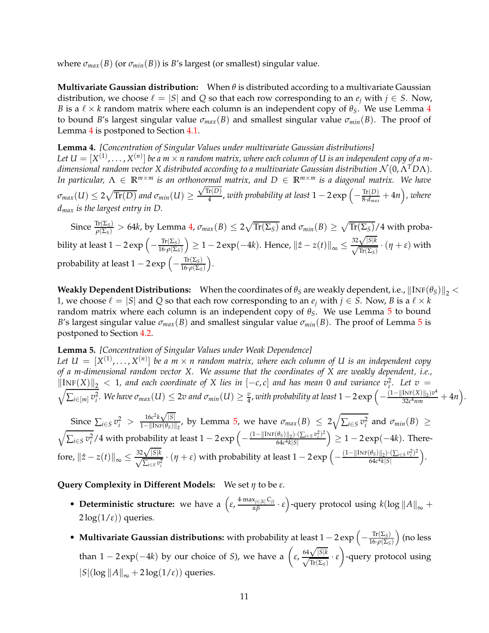where  $\sigma_{max}(B)$  (or  $\sigma_{min}(B)$ ) is *B*'s largest (or smallest) singular value.

**Multivariate Gaussian distribution:** When *θ* is distributed according to a multivariate Gaussian distribution, we choose  $\ell = |S|$  and Q so that each row corresponding to an  $e_i$  with  $j \in S$ . Now, *B* is a  $\ell \times k$  random matrix where each column is an independent copy of  $\theta_S$ . We use Lemma [4](#page-11-0) to bound *B*'s largest singular value  $\sigma_{max}(B)$  and smallest singular value  $\sigma_{min}(B)$ . The proof of Lemma [4](#page-11-0) is postponed to Section [4.1.](#page-12-0)

<span id="page-11-0"></span>**Lemma 4.** *[Concentration of Singular Values under multivariate Gaussian distributions]* Let  $U = [X^{(1)}, \ldots, X^{(n)}]$  be a m  $\times$  n random matrix, where each column of  $U$  is an independent copy of a m*dimensional random vector X distributed according to a multivariate Gaussian distribution* N (0, <sup>Λ</sup>*TD*Λ)*. In particular,*  $\Lambda \in \mathbb{R}^{m \times m}$  *is an orthonormal matrix, and*  $D \in \mathbb{R}^{m \times m}$  *is a diagonal matrix. We have*  $\sigma_{max}(U) \leq 2\sqrt{\text{Tr}(D)}$  and  $\sigma_{min}(U) \geq 0$  $\sqrt{\text{Tr}(D)}$  $\frac{\widetilde{\text{tr}(D)}}{4}$ , with probability at least  $1-2\exp\left(-\frac{\text{Tr}(D)}{8\cdot d_{max}}\right)$  $\frac{\text{Tr}(D)}{8\cdot d_{max}} + 4n$ ), where *dmax is the largest entry in D.*

 $\frac{\text{Tr}(\Sigma_S)}{\rho(\Sigma_S)}>64k$ , by Lemma [4,](#page-11-0)  $\sigma_{max}(B)\leq 2\sqrt{\text{Tr}(\Sigma_S)}$  and  $\sigma_{min}(B)\geq \sqrt{\text{Tr}(\Sigma_S)}/4$  with probability at least 1 – 2 exp  $\left(-\frac{\text{Tr}(\Sigma_S)}{16 \cdot \rho(\Sigma_S)}\right)$ <sup>16</sup>·*ρ*(Σ*S*)  $\left( \frac{1}{2} \right)$  ≥ 1 − 2 exp(-4*k*). Hence,  $||z - z(t)||_{\infty}$  ≤  $\frac{32\sqrt{|S|k}}{\sqrt{\text{Tr}(\Sigma_S)}} \cdot (\eta + \varepsilon)$  with probability at least 1 − 2 exp  $\left(-\frac{\text{Tr}(\Sigma_S)}{16 \cdot \rho(\Sigma_S)}\right)$ <sup>16</sup>·*ρ*(Σ*S*) .

**Weakly Dependent Distributions:** When the coordinates of  $\theta_S$  are weakly dependent, i.e.,  $\|\text{INF}(\theta_S)\|_{2}$  < 1, we choose  $\ell = |S|$  and Q so that each row corresponding to an  $e_j$  with  $j \in S$ . Now, B is a  $\ell \times k$ random matrix where each column is an independent copy of *θS*. We use Lemma [5](#page-11-1) to bound *B*'s largest singular value  $\sigma_{max}(B)$  and smallest singular value  $\sigma_{min}(B)$ . The proof of Lemma [5](#page-11-1) is postponed to Section [4.2.](#page-14-0)

#### <span id="page-11-1"></span>**Lemma 5.** *[Concentration of Singular Values under Weak Dependence]*

Let  $U = [X^{(1)},...,X^{(n)}]$  be a  $m \times n$  random matrix, where each column of U is an independent copy *of a m-dimensional random vector X. We assume that the coordinates of X are weakly dependent, i.e.,*  $\frac{\left\Vert \text{INF}(X) \right\Vert_2}{\left\Vert \sum_{x \in \mathbb{Z}^2} \mathbb{E} \left[ N_e \right] \text{ large } \sigma}$  (*II*)  $\leq 2\pi$  and  $\sigma_x$  (*II*)  $\geq v$  *z*yith probability at least 1 a 2 over (*ii*) *. Let v* =  $\sum_{i \in [m]} v_i^2$ . We have  $\sigma_{max}(U) \leq 2v$  and  $\sigma_{min}(U) \geq \frac{v}{4}$ , with probability at least  $1-2\exp\left(-\frac{(1-\|\text{INF}(X)\|_2)v^4}{32c^4nm}\right)$  $\frac{\text{INF}(X)\|_2)v^4}{32c^4nm}+4n$ .

Since  $\sum_{i \in S} v_i^2 > \frac{16c^2k\sqrt{|S|}}{1 - ||\text{INF}(\theta_S)||}$  $\frac{16c^2k\sqrt{|S|}}{1-||\text{INF}(\theta_S)||_2}$ , by Lemma [5,](#page-11-1) we have  $\sigma_{max}(B)$  ≤ 2 $\sqrt{\sum_{i \in S} v_i^2}$  and  $\sigma_{min}(B)$  ≥  $\sqrt{\sum_{i \in S} v_i^2}$  /4 with probability at least 1 − 2 exp  $\left(-\frac{(1-\|\text{INF}(\theta_S)\|_2)\cdot(\sum_{i \in S} v_i^2)^2}{64c^4k|S|}\right)$ 64*c* <sup>4</sup>*k*|*S*|  $\Big) \geq 1 - 2 \exp(-4k)$ . Therefore,  $||\hat{z} - z(t)||_{\infty} \leq$  $\frac{32\sqrt{|S|k}}{\sqrt{\sum_{i\in S}v_i^2}} \cdot (\eta + \varepsilon)$  with probability at least  $1 - 2 \exp\left(-\frac{(1 - ||\text{INF}(\theta_S)||_2) \cdot (\sum_{i\in S} v_i^2)^2}{64c^4k|S|}\right)$ 64*c* <sup>4</sup>*k*|*S*| .

### **Query Complexity in Different Models:** We set *η* to be *ε*.

- **Deterministic structure:** we have a  $\left(\varepsilon, \frac{4 \cdot \max_{j \in [k]} C_{jj}}{\alpha \beta} \cdot \varepsilon\right)$ -query protocol using  $k(\log ||A||_{\infty} +$  $2\log(1/\epsilon)$ ) queries.
- Multivariate Gaussian distributions: with probability at least 1 2 exp  $\left(-\frac{\text{Tr}(\Sigma_S)}{16 \cdot \rho(\Sigma_S)}\right)$ <sup>16</sup>·*ρ*(Σ*S*) (no less than  $1 - 2 \exp(-4k)$  by our choice of *S*), we have a  $\left(\varepsilon, \frac{64\sqrt{|S|k}}{\sqrt{\text{Tr}(\Sigma_S)}} \cdot \varepsilon\right)$  $\setminus$ -query protocol using  $|S|(\log ||A||_{\infty} + 2 \log(1/\varepsilon))$  queries.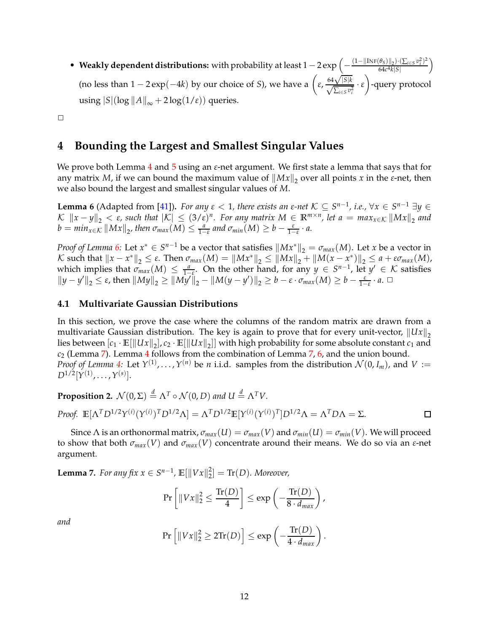• Weakly dependent distributions: with probability at least  $1-2\exp\left(-\frac{(1-\|\text{INF}(\theta_S)\|_2)\cdot(\sum_{i\in S}v_i^2)^2}{64c^4k|S|}\right)$ 64*c* <sup>4</sup>*k*|*S*|  $\overline{ }$ (no less than  $1 - 2 \exp(-4k)$  by our choice of *S*), we have a  $\left(\varepsilon, \frac{64\sqrt{|S|k}}{\sqrt{\sum_{i \in S} v_i^2}} \cdot \varepsilon\right)$  $\overline{ }$ -query protocol using  $|S|(\log ||A||_{\infty} + 2 \log(1/\varepsilon))$  queries.

 $\Box$ 

## **4 Bounding the Largest and Smallest Singular Values**

We prove both Lemma [4](#page-11-0) and [5](#page-11-1) using an *ε*-net argument. We first state a lemma that says that for any matrix *M*, if we can bound the maximum value of  $||Mx||_2$  over all points *x* in the *ε*-net, then we also bound the largest and smallest singular values of *M*.

<span id="page-12-1"></span>**Lemma 6** (Adapted from [\[41\]](#page-18-14)). *For any*  $\varepsilon < 1$ , there exists an  $\varepsilon$ -net  $K \subseteq S^{n-1}$ , *i.e.*,  $\forall x \in S^{n-1}$   $\exists y \in S^{n-1}$  $\mathcal{K}$   $\|x - y\|_2 < \varepsilon$ , such that  $|\mathcal{K}| \leq (3/\varepsilon)^n$ . For any matrix  $M \in \mathbb{R}^{m \times n}$ , let  $a = \max_{x \in \mathcal{K}} \|Mx\|_2$  and  $b = min_{x \in \mathcal{K}} ||Mx||_2$ , then  $\sigma_{max}(M) \leq \frac{a}{1-\varepsilon}$  and  $\sigma_{min}(M) \geq b - \frac{\varepsilon}{1-\varepsilon} \cdot a$ .

*Proof of Lemma* [6:](#page-12-1) Let  $x^* \in S^{n-1}$  be a vector that satisfies  $||Mx^*||_2 = \sigma_{max}(M)$ . Let *x* be a vector in *K* such that  $||x - x^*||_2 ≤ ε$ . Then  $σ_{max}(M) = ||Mx^*||_2 ≤ ||Mx||_2 + ||M(x - x^*)||_2 ≤ a + εσ_{max}(M)$ , which implies that  $\sigma_{max}(M) \leq \frac{a}{1-\varepsilon}$ . On the other hand, for any  $y \in S^{n-1}$ , let  $y' \in \mathcal{K}$  satisfies  $||y - y'||_2 \le \varepsilon$ , then  $||My||_2 \ge ||My'||_2 - ||M(y - y')||_2 \ge b - \varepsilon \cdot \sigma_{max}(M) \ge b - \frac{\varepsilon}{1 - \varepsilon} \cdot a$ .  $\Box$ 

### <span id="page-12-0"></span>**4.1 Multivariate Gaussian Distributions**

In this section, we prove the case where the columns of the random matrix are drawn from a multivariate Gaussian distribution. The key is again to prove that for every unit-vector,  $||Ux||_2$ lies between  $[c_1 \cdot \mathbb{E}[\|Ux\|_2], c_2 \cdot \mathbb{E}[\|Ux\|_2]]$  with high probability for some absolute constant  $c_1$  and *c*<sup>2</sup> (Lemma [7\)](#page-12-2). Lemma [4](#page-11-0) follows from the combination of Lemma [7,](#page-12-2) [6,](#page-12-1) and the union bound. *Proof of Lemma* [4:](#page-11-0) Let  $Y^{(1)}$ , ...,  $Y^{(n)}$  be *n* i.i.d. samples from the distribution  $\mathcal{N}(0, I_m)$ , and  $V :=$  $D^{1/2} [ \boldsymbol{Y^{(1)}, \ldots, Y^{(s)} } ].$ 

**Proposition 2.**  $\mathcal{N}(0, \Sigma) \stackrel{d}{=} \Lambda^T \circ \mathcal{N}(0, D)$  and  $U \stackrel{d}{=} \Lambda^T V$ .

Proof. 
$$
\mathbb{E}[\Lambda^T D^{1/2} \Upsilon^{(i)} (\Upsilon^{(i)})^T D^{1/2} \Lambda] = \Lambda^T D^{1/2} \mathbb{E}[\Upsilon^{(i)} (\Upsilon^{(i)})^T] D^{1/2} \Lambda = \Lambda^T D \Lambda = \Sigma.
$$

Since  $\Lambda$  is an orthonormal matrix,  $\sigma_{max}(U) = \sigma_{max}(V)$  and  $\sigma_{min}(U) = \sigma_{min}(V)$ . We will proceed to show that both  $\sigma_{max}(V)$  and  $\sigma_{max}(V)$  concentrate around their means. We do so via an *ε*-net argument.

<span id="page-12-2"></span>**Lemma 7.** *For any fix*  $x \in S^{n-1}$ ,  $\mathbb{E}[\|Vx\|_2^2]$  $\mathcal{L}_2^2$  = Tr(D). Moreover,

$$
\Pr\left[\|Vx\|_2^2 \le \frac{\text{Tr}(D)}{4}\right] \le \exp\left(-\frac{\text{Tr}(D)}{8 \cdot d_{max}}\right),\,
$$

*and*

$$
\Pr\left[\|Vx\|_2^2 \ge 2\mathrm{Tr}(D)\right] \le \exp\left(-\frac{\mathrm{Tr}(D)}{4 \cdot d_{max}}\right).
$$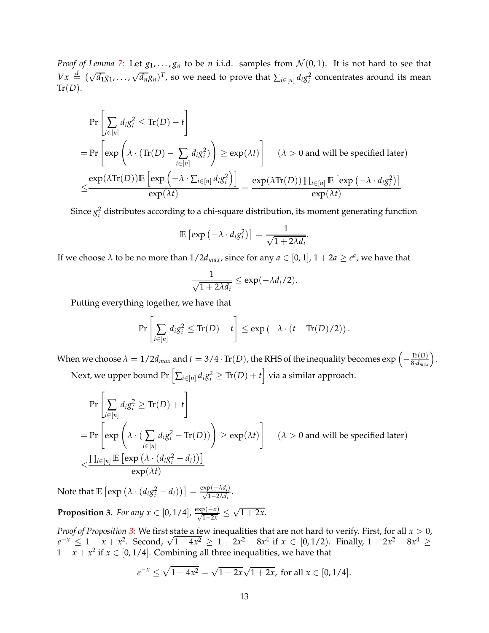*Proof of Lemma [7:](#page-12-2)* Let  $g_1, \ldots, g_n$  to be *n* i.i.d. samples from  $\mathcal{N}(0, 1)$ . It is not hard to see that  $Vx \stackrel{d}{=} (\sqrt{d_1}g_1, \ldots, \sqrt{d_n}g_n)^T$ , so we need to prove that  $\sum_{i \in [n]} d_i g_i^2$  concentrates around its mean  $Tr(D).$ 

$$
\Pr\left[\sum_{i\in[n]}d_i g_i^2 \le \text{Tr}(D) - t\right]
$$
\n
$$
= \Pr\left[\exp\left(\lambda \cdot (\text{Tr}(D) - \sum_{i\in[n]} d_i g_i^2)\right) \ge \exp(\lambda t)\right] \quad (\lambda > 0 \text{ and will be specified later})
$$
\n
$$
\le \frac{\exp(\lambda \text{Tr}(D)) \mathbb{E}\left[\exp\left(-\lambda \cdot \sum_{i\in[n]} d_i g_i^2\right)\right]}{\exp(\lambda t)} = \frac{\exp(\lambda \text{Tr}(D)) \prod_{i\in[n]} \mathbb{E}\left[\exp\left(-\lambda \cdot d_i g_i^2\right)\right]}{\exp(\lambda t)}
$$

Since  $g_i^2$  distributes according to a chi-square distribution, its moment generating function

$$
\mathbb{E}\left[\exp\left(-\lambda \cdot d_i g_i^2\right)\right] = \frac{1}{\sqrt{1+2\lambda d_i}}.
$$

If we choose  $\lambda$  to be no more than  $1/2d_{max}$ , since for any  $a \in [0,1]$ ,  $1 + 2a \ge e^a$ , we have that

$$
\frac{1}{\sqrt{1+2\lambda d_i}} \le \exp(-\lambda d_i/2).
$$

Putting everything together, we have that

$$
\Pr\left[\sum_{i\in[n]}d_i g_i^2 \leq \text{Tr}(D) - t\right] \leq \exp\left(-\lambda \cdot (t - \text{Tr}(D)/2)\right).
$$

When we choose  $\lambda = 1/2d_{max}$  and  $t = 3/4 \cdot Tr(D)$ , the RHS of the inequality becomes  $\exp \left(-\frac{Tr(D)}{8 \cdot d_{max}}\right)$ .

Next, we upper bound Pr  $\left[ \sum_{i \in [n]} d_i g_i^2 \geq \text{Tr}(D) + t \right]$  via a similar approach.

$$
\Pr\left[\sum_{i\in[n]} d_i g_i^2 \ge \text{Tr}(D) + t\right]
$$
\n
$$
= \Pr\left[\exp\left(\lambda \cdot \left(\sum_{i\in[n]} d_i g_i^2 - \text{Tr}(D)\right)\right) \ge \exp(\lambda t)\right] \quad (\lambda > 0 \text{ and will be specified later})
$$
\n
$$
\le \frac{\prod_{i\in[n]} \mathbb{E}\left[\exp\left(\lambda \cdot \left(d_i g_i^2 - d_i\right)\right)\right]}{\exp(\lambda t)}
$$

<span id="page-13-0"></span>Note that  $\mathbb{E}\left[\exp\left(\lambda \cdot (d_i g_i^2 - d_i)\right)\right] = \frac{\exp(-\lambda d_i)}{\sqrt{1 - 2\lambda d_i}}.$ 

**Proposition 3.** *For any*  $x \in [0, 1/4]$ ,  $\frac{\exp(-x)}{\sqrt{1-2x}} \le$  $\sqrt{1+2x}$ .

*Proof of Proposition [3:](#page-13-0)* We first state a few inequalities that are not hard to verify. First, for all *x* > 0, *e*<sup>-*x*</sup> ≤ 1 − *x* + *x*<sup>2</sup>. Second,  $\sqrt{1-4x^2} \ge 1-2x^2-8x^4$  if  $x \in [0,1/2)$ . Finally, 1 − 2*x*<sup>2</sup> − 8*x*<sup>4</sup> ≥  $1 - x + x^2$  if  $x \in [0, 1/4]$ . Combining all three inequalities, we have that

$$
e^{-x} \le \sqrt{1 - 4x^2} = \sqrt{1 - 2x}\sqrt{1 + 2x}, \text{ for all } x \in [0, 1/4].
$$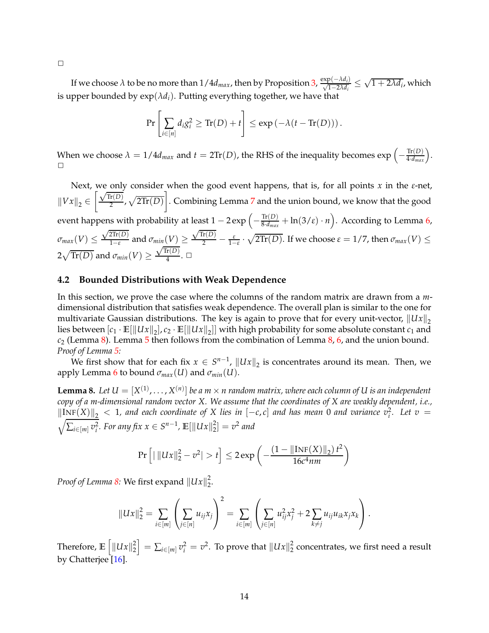If we choose  $\lambda$  to be no more than  $1/4d_{max}$ , then by Proposition [3,](#page-13-0)  $\frac{\exp(-\lambda d_i)}{\sqrt{1-2\lambda d_i}} \leq$  $\sqrt{1+2\lambda d_i}$ , which is upper bounded by  $exp(\lambda d_i)$ . Putting everything together, we have that

$$
\Pr\left[\sum_{i\in[n]}d_i g_i^2 \ge \text{Tr}(D) + t\right] \le \exp\left(-\lambda(t - \text{Tr}(D))\right).
$$

When we choose  $\lambda = 1/4d_{max}$  and  $t = 2\text{Tr}(D)$ , the RHS of the inequality becomes  $\exp\left(-\frac{\text{Tr}(D)}{4 \cdot d_{max}}\right)$ .  $\Box$ 

Next, we only consider when the good event happens, that is, for all points *x* in the *ε*-net,  $\left\| Vx\right\|_2 \in$  $\sqrt{\text{Tr}(D)}$  $\frac{\text{Tr}(D)}{2}$ ,  $\sqrt{2 \text{Tr}(D)}$ 1 . Combining Lemma [7](#page-12-2) and the union bound, we know that the good event happens with probability at least  $1 - 2 \exp \left(-\frac{\text{Tr}(D)}{8 \cdot d_{max}}\right)$  $\frac{\text{Tr}(D)}{8 \cdot d_{max}} + \ln(3/\varepsilon) \cdot n$ . According to Lemma [6,](#page-12-1)  $\sigma_{max}(V) \leq$  $\sqrt{2\text{Tr}(D)}$  $\frac{2\ln(D)}{1-\varepsilon}$  and  $\sigma_{min}(V) \ge$  $\frac{\sqrt{\text{Tr}(D)}}{2} - \frac{\varepsilon}{1-\varepsilon} \cdot \sqrt{2\text{Tr}(D)}$ . If we choose  $\varepsilon = 1/7$ , then  $\sigma_{max}(V) \leq$  $2\sqrt{\text{Tr}(D)}$  and  $\sigma_{min}(V) \geq$  $\sqrt{\text{Tr}(D)}$  $\frac{\Gamma(D)}{4}$ .  $\Box$ 

#### <span id="page-14-0"></span>**4.2 Bounded Distributions with Weak Dependence**

In this section, we prove the case where the columns of the random matrix are drawn from a *m*dimensional distribution that satisfies weak dependence. The overall plan is similar to the one for multivariate Gaussian distributions. The key is again to prove that for every unit-vector,  $\|Ux\|_2$ lies between  $[c_1 \cdot \mathbb{E}[\|Ux\|_2], c_2 \cdot \mathbb{E}[\|Ux\|_2]]$  with high probability for some absolute constant  $c_1$  and *c*<sup>2</sup> (Lemma [8\)](#page-14-1). Lemma [5](#page-11-1) then follows from the combination of Lemma [8,](#page-14-1) [6,](#page-12-1) and the union bound. *Proof of Lemma [5:](#page-11-1)*

<span id="page-14-1"></span>We first show that for each fix  $x \in S^{n-1}$ ,  $||Ux||_2$  is concentrates around its mean. Then, we apply Lemma [6](#page-12-1) to bound  $\sigma_{max}(U)$  and  $\sigma_{min}(U)$ .

**Lemma 8.** Let  $U = [X^{(1)},...,X^{(n)}]$  be a  $m \times n$  random matrix, where each column of U is an independent *copy of a m-dimensional random vector X. We assume that the coordinates of X are weakly dependent, i.e.,*  $\|\text{INF}(X)\|_2 < 1$ , and each coordinate of X lies in  $[-c, c]$  and has mean 0 and variance  $v_i^2$ . Let  $v =$  $\sqrt{\sum_{i \in [m]} v_i^2}$ *. For any fix*  $x \in S^{n-1}$ *,*  $\mathbb{E}[\|Ux\|_2^2$  $\binom{2}{2} = v^2$  and

$$
\Pr\left[|\left\|Ux\right\|_{2}^{2}-v^{2}\right|>t\right]\leq 2\exp\left(-\frac{(1-\left\|\text{INF}(X)\right\|_{2})t^{2}}{16c^{4}nm}\right)
$$

*Proof of Lemma [8:](#page-14-1)* We first expand  $\|Ux\|_2^2$ 2 .

$$
||Ux||_2^2 = \sum_{i \in [m]} \left( \sum_{j \in [n]} u_{ij} x_j \right)^2 = \sum_{i \in [m]} \left( \sum_{j \in [n]} u_{ij}^2 x_j^2 + 2 \sum_{k \neq j} u_{ij} u_{ik} x_j x_k \right).
$$

<span id="page-14-2"></span>Therefore,  $\mathbb{E}\left[\left\Vert Ux\right\Vert _{2}^{2}\right]$ 2  $\Big] = \sum_{i \in [m]} v_i^2 = v^2$ . To prove that  $\|Ux\|_2^2$  $\frac{2}{2}$  concentrates, we first need a result by Chatterjee [\[16\]](#page-16-15).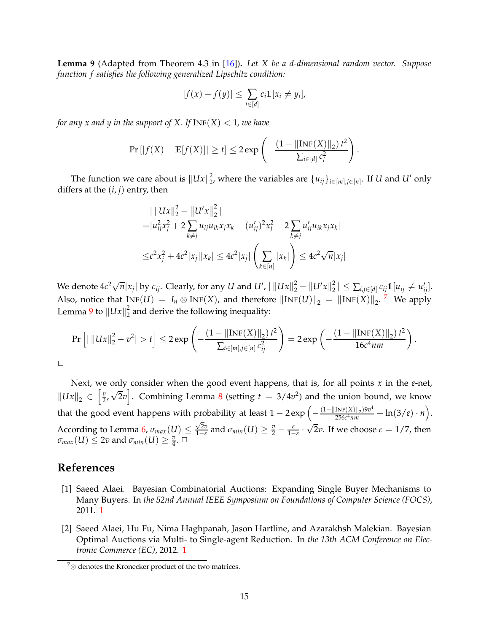**Lemma 9** (Adapted from Theorem 4.3 in [\[16\]](#page-16-15))**.** *Let X be a d-dimensional random vector. Suppose function f satisfies the following generalized Lipschitz condition:*

$$
|f(x)-f(y)| \leq \sum_{i\in[d]} c_i \mathbb{1}[x_i \neq y_i],
$$

*for any x and y in the support of X. If*  $INF(X) < 1$ *, we have* 

$$
\Pr\left[|f(X) - \mathbb{E}[f(X)]| \ge t\right] \le 2 \exp\left(-\frac{(1 - ||\text{INF}(X)||_2) t^2}{\sum_{i \in [d]} c_i^2}\right).
$$

The function we care about is  $||Ux||_2^2$ 2, where the variables are  $\{u_{ij}\}_{i \in [m], j \in [n]}$ . If *U* and *U'* only differs at the  $(i, j)$  entry, then

$$
\| \|Ux\|_2^2 - \|U'x\|_2^2 \|
$$
  
=  $|u_{ij}^2 x_j^2 + 2 \sum_{k \neq j} u_{ij} u_{ik} x_j x_k - (u'_{ij})^2 x_j^2 - 2 \sum_{k \neq j} u'_{ij} u_{ik} x_j x_k|$   

$$
\leq c^2 x_j^2 + 4c^2 |x_j| |x_k| \leq 4c^2 |x_j| \left(\sum_{k \in [n]} |x_k|\right) \leq 4c^2 \sqrt{n} |x_j|
$$

We denote  $4c^2\sqrt{n}|x_j|$  by  $c_{ij}$ . Clearly, for any *U* and *U'*,  $|\left\|Ux\right\|_2^2-\left\|U'x\right\|_2^2$  $\sum_{i,j\in[d]} c_{ij} \mathbb{1}[u_{ij} \neq u'_{ij}].$ Also, notice that  $\text{INF}(U) = I_n \otimes \text{INF}(X)$ , and therefore  $\|\text{INF}(U)\|_2 = \|\text{INF}(X)\|_2$ . <sup>[7](#page-15-2)</sup> We apply Lemma [9](#page-14-2) to  $\|Ux\|_2^2$  $\frac{2}{2}$  and derive the following inequality:

$$
\Pr\left[\left|\left|\|Ux\right\|_{2}^{2}-v^{2}\right|>t\right]\leq 2\exp\left(-\frac{(1-\left|\left|\operatorname{Inf}(X)\right|\right|_{2})t^{2}}{\sum_{i\in[m],j\in[n]}c_{ij}^{2}}\right)=2\exp\left(-\frac{(1-\left|\left|\operatorname{Inf}(X)\right|\right|_{2})t^{2}}{16c^{4}nm}\right).
$$

 $\Box$ 

Next, we only consider when the good event happens, that is, for all points *x* in the *ε*-net,  $\|Ux\|_2 \in \left[\frac{v}{2}, \sqrt{2}v\right]$ . Combining Lemma [8](#page-14-1) (setting  $t = 3/4v^2$ ) and the union bound, we know that the good event happens with probability at least  $1 - 2 \exp \left(-\frac{(1 - ||\text{INF}(X)||_2)9v^4}{256c^4nm}\right)$  $\frac{\text{INF}(X)\|_2}{256c^4nm} + \ln(3/\varepsilon) \cdot n$ . According to Lemma [6,](#page-12-1)  $\sigma_{max}(U) \leq \frac{\sqrt{2v}}{1-\varepsilon}$ √  $\frac{\sqrt{2v}}{1-\varepsilon}$  and  $\sigma_{min}(U) \geq \frac{v}{2} - \frac{\varepsilon}{1-\varepsilon}$ .  $\sqrt{2}v$ . If we choose  $\varepsilon = 1/7$ , then  $\sigma_{max}(U) \leq 2v$  and  $\sigma_{min}(U) \geq \frac{v}{4}$ .  $\Box$ 

### <span id="page-15-1"></span>**References**

- [1] Saeed Alaei. Bayesian Combinatorial Auctions: Expanding Single Buyer Mechanisms to Many Buyers. In *the 52nd Annual IEEE Symposium on Foundations of Computer Science (FOCS)*, 2011. [1](#page-1-0)
- <span id="page-15-0"></span>[2] Saeed Alaei, Hu Fu, Nima Haghpanah, Jason Hartline, and Azarakhsh Malekian. Bayesian Optimal Auctions via Multi- to Single-agent Reduction. In *the 13th ACM Conference on Electronic Commerce (EC)*, 2012. [1](#page-1-0)

<span id="page-15-2"></span> $7\otimes$  denotes the Kronecker product of the two matrices.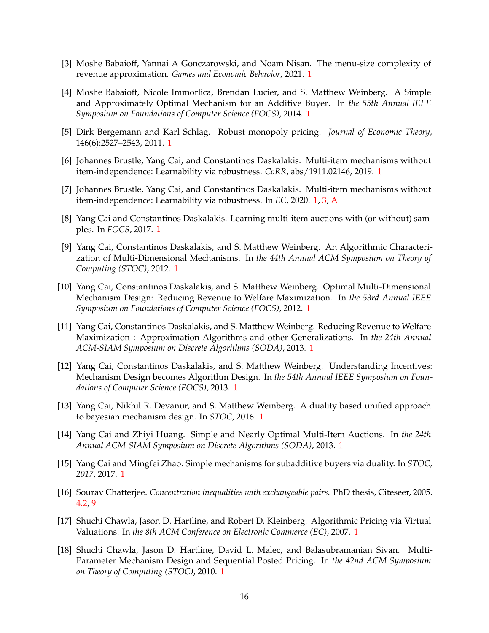- <span id="page-16-8"></span><span id="page-16-0"></span>[3] Moshe Babaioff, Yannai A Gonczarowski, and Noam Nisan. The menu-size complexity of revenue approximation. *Games and Economic Behavior*, 2021. [1](#page-1-0)
- [4] Moshe Babaioff, Nicole Immorlica, Brendan Lucier, and S. Matthew Weinberg. A Simple and Approximately Optimal Mechanism for an Additive Buyer. In *the 55th Annual IEEE Symposium on Foundations of Computer Science (FOCS)*, 2014. [1](#page-1-0)
- <span id="page-16-14"></span><span id="page-16-13"></span>[5] Dirk Bergemann and Karl Schlag. Robust monopoly pricing. *Journal of Economic Theory*, 146(6):2527–2543, 2011. [1](#page-1-0)
- <span id="page-16-12"></span>[6] Johannes Brustle, Yang Cai, and Constantinos Daskalakis. Multi-item mechanisms without item-independence: Learnability via robustness. *CoRR*, abs/1911.02146, 2019. [1](#page-1-0)
- <span id="page-16-11"></span>[7] Johannes Brustle, Yang Cai, and Constantinos Daskalakis. Multi-item mechanisms without item-independence: Learnability via robustness. In *EC*, 2020. [1,](#page-1-0) [3,](#page-7-1) [A](#page-18-12)
- <span id="page-16-2"></span>[8] Yang Cai and Constantinos Daskalakis. Learning multi-item auctions with (or without) samples. In *FOCS*, 2017. [1](#page-1-0)
- [9] Yang Cai, Constantinos Daskalakis, and S. Matthew Weinberg. An Algorithmic Characterization of Multi-Dimensional Mechanisms. In *the 44th Annual ACM Symposium on Theory of Computing (STOC)*, 2012. [1](#page-1-0)
- <span id="page-16-1"></span>[10] Yang Cai, Constantinos Daskalakis, and S. Matthew Weinberg. Optimal Multi-Dimensional Mechanism Design: Reducing Revenue to Welfare Maximization. In *the 53rd Annual IEEE Symposium on Foundations of Computer Science (FOCS)*, 2012. [1](#page-1-0)
- <span id="page-16-3"></span>[11] Yang Cai, Constantinos Daskalakis, and S. Matthew Weinberg. Reducing Revenue to Welfare Maximization : Approximation Algorithms and other Generalizations. In *the 24th Annual ACM-SIAM Symposium on Discrete Algorithms (SODA)*, 2013. [1](#page-1-0)
- <span id="page-16-4"></span>[12] Yang Cai, Constantinos Daskalakis, and S. Matthew Weinberg. Understanding Incentives: Mechanism Design becomes Algorithm Design. In *the 54th Annual IEEE Symposium on Foundations of Computer Science (FOCS)*, 2013. [1](#page-1-0)
- <span id="page-16-9"></span>[13] Yang Cai, Nikhil R. Devanur, and S. Matthew Weinberg. A duality based unified approach to bayesian mechanism design. In *STOC*, 2016. [1](#page-1-0)
- <span id="page-16-7"></span>[14] Yang Cai and Zhiyi Huang. Simple and Nearly Optimal Multi-Item Auctions. In *the 24th Annual ACM-SIAM Symposium on Discrete Algorithms (SODA)*, 2013. [1](#page-1-0)
- <span id="page-16-10"></span>[15] Yang Cai and Mingfei Zhao. Simple mechanisms for subadditive buyers via duality. In *STOC, 2017*, 2017. [1](#page-1-0)
- <span id="page-16-15"></span>[16] Sourav Chatterjee. *Concentration inequalities with exchangeable pairs*. PhD thesis, Citeseer, 2005. [4.2,](#page-14-1) [9](#page-14-2)
- <span id="page-16-5"></span>[17] Shuchi Chawla, Jason D. Hartline, and Robert D. Kleinberg. Algorithmic Pricing via Virtual Valuations. In *the 8th ACM Conference on Electronic Commerce (EC)*, 2007. [1](#page-1-0)
- <span id="page-16-6"></span>[18] Shuchi Chawla, Jason D. Hartline, David L. Malec, and Balasubramanian Sivan. Multi-Parameter Mechanism Design and Sequential Posted Pricing. In *the 42nd ACM Symposium on Theory of Computing (STOC)*, 2010. [1](#page-1-0)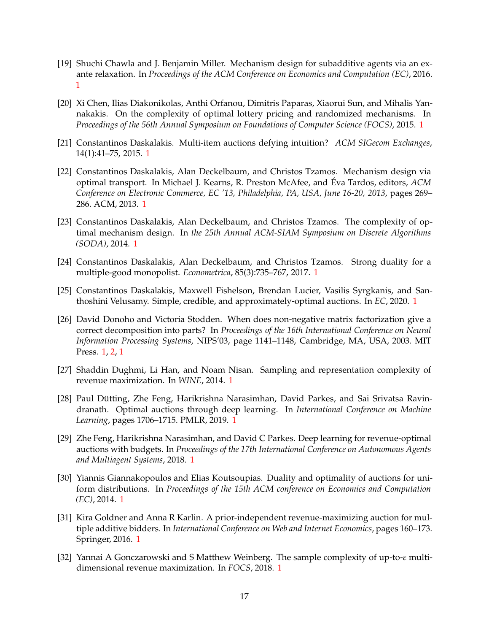- <span id="page-17-7"></span>[19] Shuchi Chawla and J. Benjamin Miller. Mechanism design for subadditive agents via an exante relaxation. In *Proceedings of the ACM Conference on Economics and Computation (EC)*, 2016. [1](#page-1-0)
- <span id="page-17-3"></span>[20] Xi Chen, Ilias Diakonikolas, Anthi Orfanou, Dimitris Paparas, Xiaorui Sun, and Mihalis Yannakakis. On the complexity of optimal lottery pricing and randomized mechanisms. In *Proceedings of the 56th Annual Symposium on Foundations of Computer Science (FOCS)*, 2015. [1](#page-1-0)
- <span id="page-17-5"></span><span id="page-17-4"></span>[21] Constantinos Daskalakis. Multi-item auctions defying intuition? *ACM SIGecom Exchanges*, 14(1):41–75, 2015. [1](#page-1-0)
- [22] Constantinos Daskalakis, Alan Deckelbaum, and Christos Tzamos. Mechanism design via optimal transport. In Michael J. Kearns, R. Preston McAfee, and Éva Tardos, editors, *ACM Conference on Electronic Commerce, EC '13, Philadelphia, PA, USA, June 16-20, 2013*, pages 269– 286. ACM, 2013. [1](#page-1-0)
- <span id="page-17-2"></span>[23] Constantinos Daskalakis, Alan Deckelbaum, and Christos Tzamos. The complexity of optimal mechanism design. In *the 25th Annual ACM-SIAM Symposium on Discrete Algorithms (SODA)*, 2014. [1](#page-1-0)
- <span id="page-17-1"></span>[24] Constantinos Daskalakis, Alan Deckelbaum, and Christos Tzamos. Strong duality for a multiple-good monopolist. *Econometrica*, 85(3):735–767, 2017. [1](#page-1-0)
- <span id="page-17-8"></span>[25] Constantinos Daskalakis, Maxwell Fishelson, Brendan Lucier, Vasilis Syrgkanis, and Santhoshini Velusamy. Simple, credible, and approximately-optimal auctions. In *EC*, 2020. [1](#page-1-0)
- <span id="page-17-13"></span>[26] David Donoho and Victoria Stodden. When does non-negative matrix factorization give a correct decomposition into parts? In *Proceedings of the 16th International Conference on Neural Information Processing Systems*, NIPS'03, page 1141–1148, Cambridge, MA, USA, 2003. MIT Press. [1,](#page-1-0) [2,](#page-8-1) [1](#page-9-3)
- <span id="page-17-12"></span><span id="page-17-0"></span>[27] Shaddin Dughmi, Li Han, and Noam Nisan. Sampling and representation complexity of revenue maximization. In *WINE*, 2014. [1](#page-1-0)
- [28] Paul Dütting, Zhe Feng, Harikrishna Narasimhan, David Parkes, and Sai Srivatsa Ravindranath. Optimal auctions through deep learning. In *International Conference on Machine Learning*, pages 1706–1715. PMLR, 2019. [1](#page-1-0)
- <span id="page-17-11"></span>[29] Zhe Feng, Harikrishna Narasimhan, and David C Parkes. Deep learning for revenue-optimal auctions with budgets. In *Proceedings of the 17th International Conference on Autonomous Agents and Multiagent Systems*, 2018. [1](#page-1-0)
- <span id="page-17-6"></span>[30] Yiannis Giannakopoulos and Elias Koutsoupias. Duality and optimality of auctions for uniform distributions. In *Proceedings of the 15th ACM conference on Economics and Computation (EC)*, 2014. [1](#page-1-0)
- <span id="page-17-9"></span>[31] Kira Goldner and Anna R Karlin. A prior-independent revenue-maximizing auction for multiple additive bidders. In *International Conference on Web and Internet Economics*, pages 160–173. Springer, 2016. [1](#page-1-0)
- <span id="page-17-10"></span>[32] Yannai A Gonczarowski and S Matthew Weinberg. The sample complexity of up-to-*ε* multidimensional revenue maximization. In *FOCS*, 2018. [1](#page-1-0)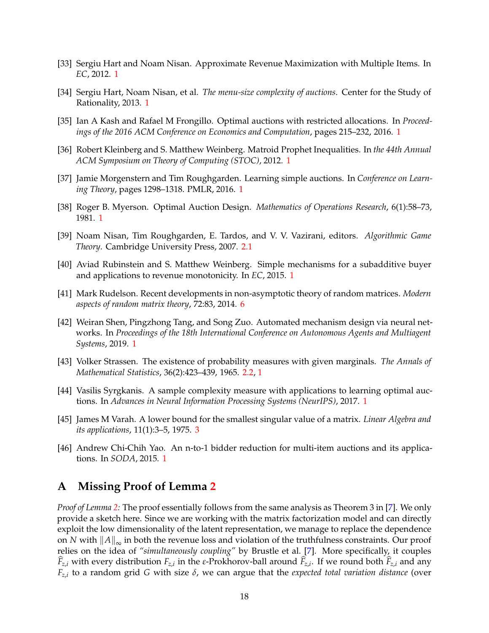- <span id="page-18-3"></span><span id="page-18-1"></span>[33] Sergiu Hart and Noam Nisan. Approximate Revenue Maximization with Multiple Items. In *EC*, 2012. [1](#page-1-0)
- <span id="page-18-2"></span>[34] Sergiu Hart, Noam Nisan, et al. *The menu-size complexity of auctions*. Center for the Study of Rationality, 2013. [1](#page-1-0)
- <span id="page-18-4"></span>[35] Ian A Kash and Rafael M Frongillo. Optimal auctions with restricted allocations. In *Proceedings of the 2016 ACM Conference on Economics and Computation*, pages 215–232, 2016. [1](#page-1-0)
- <span id="page-18-7"></span>[36] Robert Kleinberg and S. Matthew Weinberg. Matroid Prophet Inequalities. In *the 44th Annual ACM Symposium on Theory of Computing (STOC)*, 2012. [1](#page-1-0)
- [37] Jamie Morgenstern and Tim Roughgarden. Learning simple auctions. In *Conference on Learning Theory*, pages 1298–1318. PMLR, 2016. [1](#page-1-0)
- <span id="page-18-10"></span><span id="page-18-0"></span>[38] Roger B. Myerson. Optimal Auction Design. *Mathematics of Operations Research*, 6(1):58–73, 1981. [1](#page-1-0)
- [39] Noam Nisan, Tim Roughgarden, E. Tardos, and V. V. Vazirani, editors. *Algorithmic Game Theory*. Cambridge University Press, 2007. [2.1](#page-3-1)
- <span id="page-18-6"></span>[40] Aviad Rubinstein and S. Matthew Weinberg. Simple mechanisms for a subadditive buyer and applications to revenue monotonicity. In *EC*, 2015. [1](#page-1-0)
- <span id="page-18-14"></span><span id="page-18-9"></span>[41] Mark Rudelson. Recent developments in non-asymptotic theory of random matrices. *Modern aspects of random matrix theory*, 72:83, 2014. [6](#page-12-1)
- [42] Weiran Shen, Pingzhong Tang, and Song Zuo. Automated mechanism design via neural networks. In *Proceedings of the 18th International Conference on Autonomous Agents and Multiagent Systems*, 2019. [1](#page-1-0)
- <span id="page-18-11"></span><span id="page-18-8"></span>[43] Volker Strassen. The existence of probability measures with given marginals. *The Annals of Mathematical Statistics*, 36(2):423–439, 1965. [2.2,](#page-4-2) [1](#page-4-1)
- [44] Vasilis Syrgkanis. A sample complexity measure with applications to learning optimal auctions. In *Advances in Neural Information Processing Systems (NeurIPS)*, 2017. [1](#page-1-0)
- <span id="page-18-13"></span>[45] James M Varah. A lower bound for the smallest singular value of a matrix. *Linear Algebra and its applications*, 11(1):3–5, 1975. [3](#page-10-0)
- <span id="page-18-5"></span>[46] Andrew Chi-Chih Yao. An n-to-1 bidder reduction for multi-item auctions and its applications. In *SODA*, 2015. [1](#page-1-0)

## <span id="page-18-12"></span>**A Missing Proof of Lemma [2](#page-7-0)**

*Proof of Lemma [2:](#page-7-0)* The proof essentially follows from the same analysis as Theorem 3 in [\[7\]](#page-16-12). We only provide a sketch here. Since we are working with the matrix factorization model and can directly exploit the low dimensionality of the latent representation, we manage to replace the dependence on *N* with  $||A||_{\infty}$  in both the revenue loss and violation of the truthfulness constraints. Our proof relies on the idea of *"simultaneously coupling"* by Brustle et al. [\[7\]](#page-16-12). More specifically, it couples *F*<sub>z,*i*</sub> with every distribution *F*<sub>z,*i*</sub> in the *ε*-Prokhorov-ball around *F*<sub>z,*i*</sub>. If we round both *F*<sub>z,*i*</sub> and any *Fz*,*<sup>i</sup>* to a random grid *G* with size *δ*, we can argue that the *expected total variation distance* (over